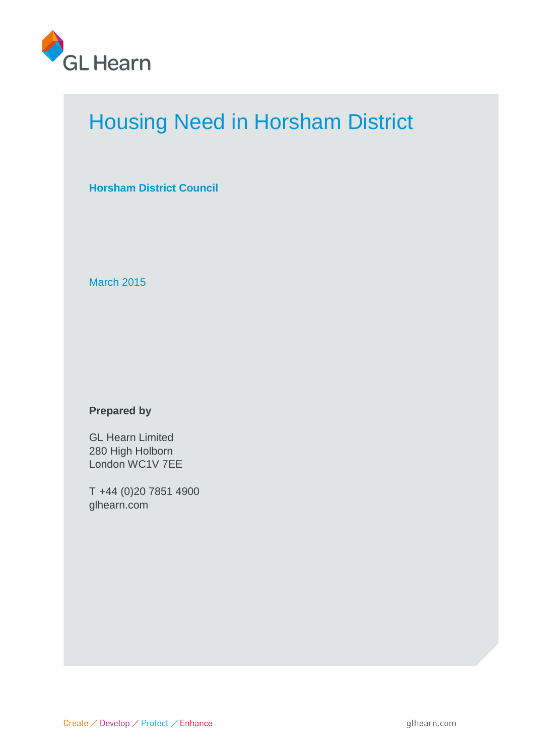

# Housing Need in Horsham District

**Horsham District Council** 

March 2015

## **Prepared by**

GL Hearn Limited 280 High Holborn London WC1V 7EE

T +44 (0)20 7851 4900 glhearn.com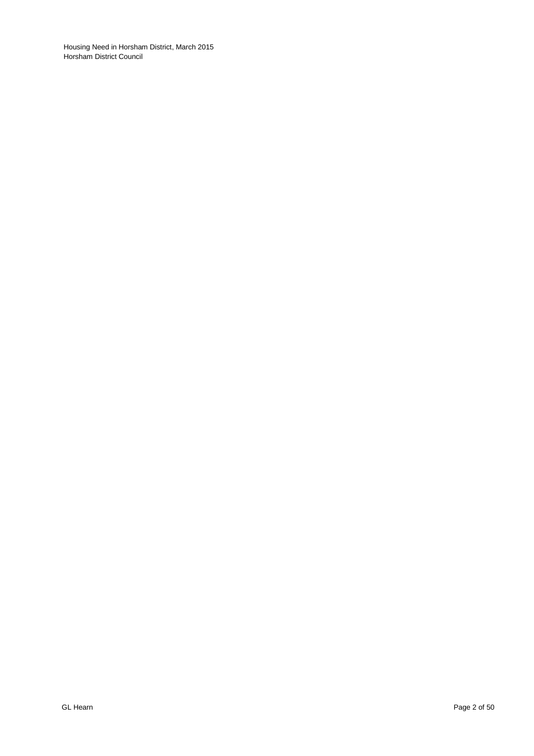Housing Need in Horsham District, March 2015 Horsham District Council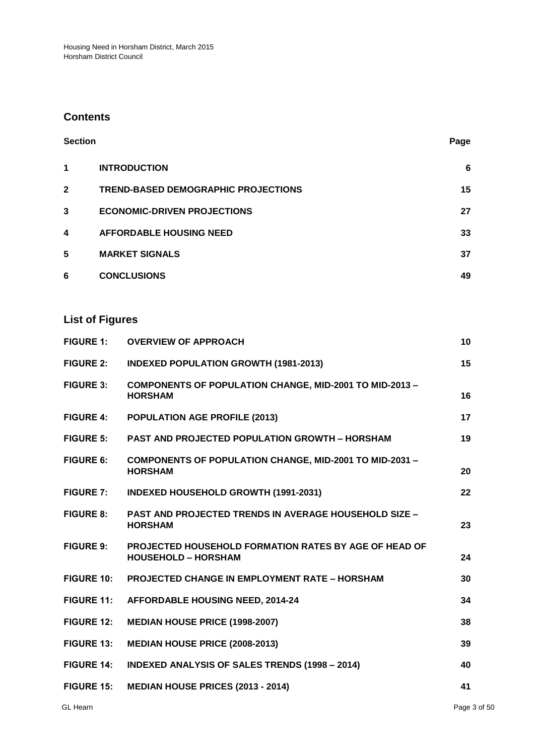# **Contents**

| <b>Section</b> |                                            | Page |
|----------------|--------------------------------------------|------|
| 1              | <b>INTRODUCTION</b>                        | 6    |
| $\mathbf{2}$   | <b>TREND-BASED DEMOGRAPHIC PROJECTIONS</b> | 15   |
| 3              | <b>ECONOMIC-DRIVEN PROJECTIONS</b>         | 27   |
| 4              | <b>AFFORDABLE HOUSING NEED</b>             | 33   |
| 5              | <b>MARKET SIGNALS</b>                      | 37   |
| 6              | <b>CONCLUSIONS</b>                         | 49   |

# **List of Figures**

| <b>OVERVIEW OF APPROACH</b>                                                                | 10 |
|--------------------------------------------------------------------------------------------|----|
| <b>INDEXED POPULATION GROWTH (1981-2013)</b>                                               | 15 |
| <b>COMPONENTS OF POPULATION CHANGE, MID-2001 TO MID-2013 -</b><br><b>HORSHAM</b>           | 16 |
| <b>POPULATION AGE PROFILE (2013)</b>                                                       | 17 |
| <b>PAST AND PROJECTED POPULATION GROWTH - HORSHAM</b>                                      | 19 |
| <b>COMPONENTS OF POPULATION CHANGE, MID-2001 TO MID-2031 -</b><br><b>HORSHAM</b>           | 20 |
| INDEXED HOUSEHOLD GROWTH (1991-2031)                                                       | 22 |
| <b>PAST AND PROJECTED TRENDS IN AVERAGE HOUSEHOLD SIZE -</b><br><b>HORSHAM</b>             | 23 |
| <b>PROJECTED HOUSEHOLD FORMATION RATES BY AGE OF HEAD OF</b><br><b>HOUSEHOLD - HORSHAM</b> | 24 |
| <b>PROJECTED CHANGE IN EMPLOYMENT RATE - HORSHAM</b>                                       | 30 |
| <b>AFFORDABLE HOUSING NEED, 2014-24</b>                                                    | 34 |
| <b>MEDIAN HOUSE PRICE (1998-2007)</b>                                                      | 38 |
| <b>MEDIAN HOUSE PRICE (2008-2013)</b>                                                      | 39 |
| <b>INDEXED ANALYSIS OF SALES TRENDS (1998 - 2014)</b>                                      | 40 |
| <b>MEDIAN HOUSE PRICES (2013 - 2014)</b>                                                   | 41 |
|                                                                                            |    |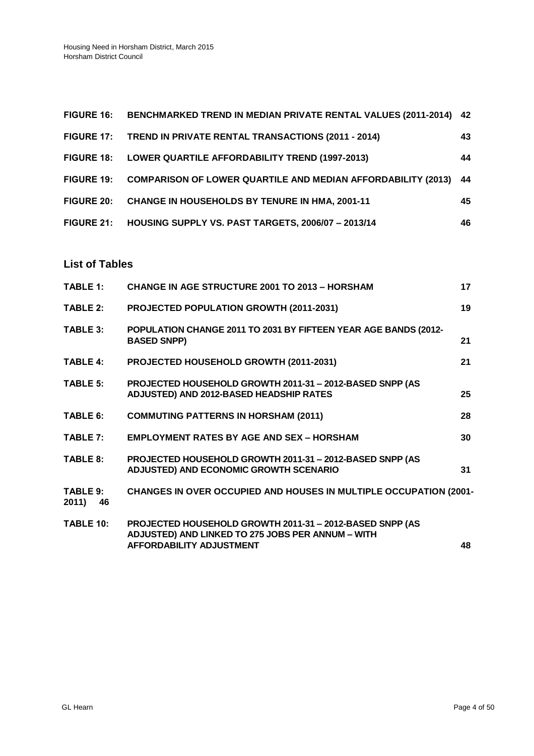Housing Need in Horsham District, March 2015 Horsham District Council

| <b>FIGURE 16:</b> | BENCHMARKED TREND IN MEDIAN PRIVATE RENTAL VALUES (2011-2014) 42    |    |
|-------------------|---------------------------------------------------------------------|----|
|                   | FIGURE 17: TREND IN PRIVATE RENTAL TRANSACTIONS (2011 - 2014)       | 43 |
|                   | FIGURE 18: LOWER QUARTILE AFFORDABILITY TREND (1997-2013)           | 44 |
| <b>FIGURE 19:</b> | <b>COMPARISON OF LOWER QUARTILE AND MEDIAN AFFORDABILITY (2013)</b> | 44 |
| <b>FIGURE 20:</b> | <b>CHANGE IN HOUSEHOLDS BY TENURE IN HMA, 2001-11</b>               | 45 |
| <b>FIGURE 21:</b> | <b>HOUSING SUPPLY VS. PAST TARGETS, 2006/07 - 2013/14</b>           | 46 |

# **List of Tables**

| <b>TABLE 1:</b>          | <b>CHANGE IN AGE STRUCTURE 2001 TO 2013 - HORSHAM</b>                                                                                            | 17 |
|--------------------------|--------------------------------------------------------------------------------------------------------------------------------------------------|----|
| TABLE 2:                 | <b>PROJECTED POPULATION GROWTH (2011-2031)</b>                                                                                                   | 19 |
| <b>TABLE 3:</b>          | POPULATION CHANGE 2011 TO 2031 BY FIFTEEN YEAR AGE BANDS (2012-<br><b>BASED SNPP)</b>                                                            | 21 |
| <b>TABLE 4:</b>          | <b>PROJECTED HOUSEHOLD GROWTH (2011-2031)</b>                                                                                                    | 21 |
| <b>TABLE 5:</b>          | PROJECTED HOUSEHOLD GROWTH 2011-31 - 2012-BASED SNPP (AS<br>ADJUSTED) AND 2012-BASED HEADSHIP RATES                                              | 25 |
| TABLE 6:                 | <b>COMMUTING PATTERNS IN HORSHAM (2011)</b>                                                                                                      | 28 |
| TABLE 7:                 | <b>EMPLOYMENT RATES BY AGE AND SEX - HORSHAM</b>                                                                                                 | 30 |
| TABLE 8:                 | PROJECTED HOUSEHOLD GROWTH 2011-31 - 2012-BASED SNPP (AS<br>ADJUSTED) AND ECONOMIC GROWTH SCENARIO                                               | 31 |
| TABLE 9:<br>2011)<br>-46 | <b>CHANGES IN OVER OCCUPIED AND HOUSES IN MULTIPLE OCCUPATION (2001-</b>                                                                         |    |
| <b>TABLE 10:</b>         | PROJECTED HOUSEHOLD GROWTH 2011-31 - 2012-BASED SNPP (AS<br>ADJUSTED) AND LINKED TO 275 JOBS PER ANNUM - WITH<br><b>AFFORDABILITY ADJUSTMENT</b> | 48 |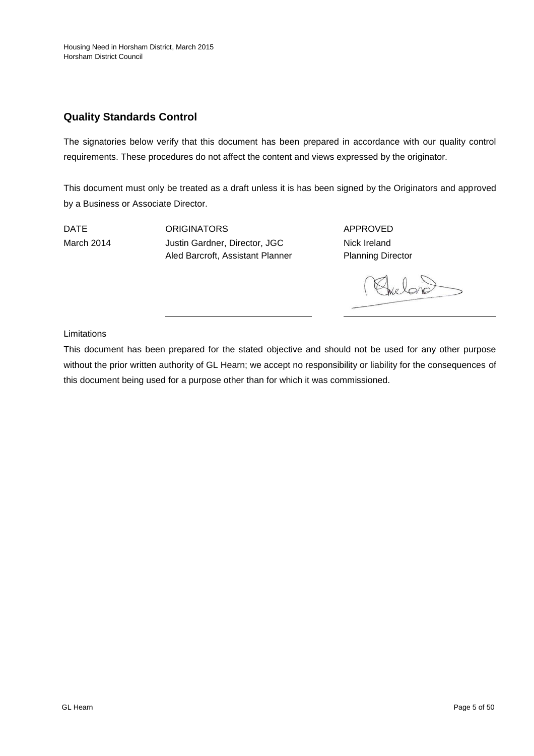## **Quality Standards Control**

The signatories below verify that this document has been prepared in accordance with our quality control requirements. These procedures do not affect the content and views expressed by the originator.

This document must only be treated as a draft unless it is has been signed by the Originators and approved by a Business or Associate Director.

DATE ORIGINATORS APPROVED March 2014 Justin Gardner, Director, JGC Nick Ireland Aled Barcroft, Assistant Planner Planning Director

Quelano

#### Limitations

This document has been prepared for the stated objective and should not be used for any other purpose without the prior written authority of GL Hearn; we accept no responsibility or liability for the consequences of this document being used for a purpose other than for which it was commissioned.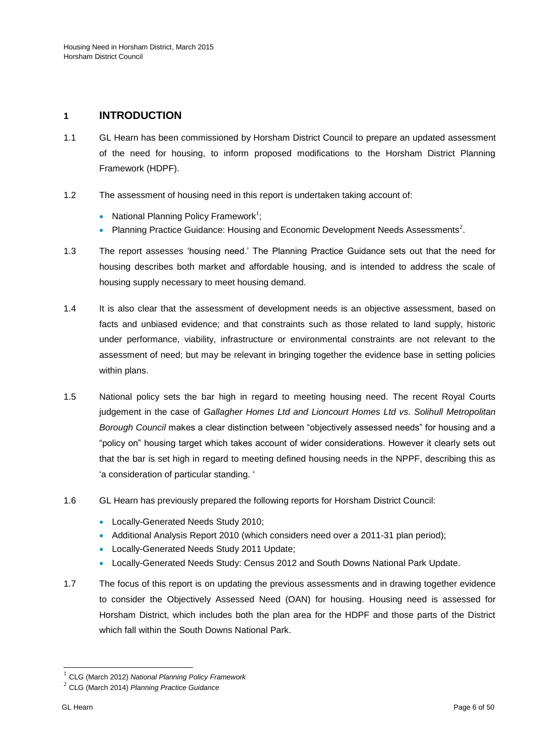## **1 INTRODUCTION**

- 1.1 GL Hearn has been commissioned by Horsham District Council to prepare an updated assessment of the need for housing, to inform proposed modifications to the Horsham District Planning Framework (HDPF).
- 1.2 The assessment of housing need in this report is undertaken taking account of:
	- National Planning Policy Framework<sup>1</sup>;
	- Planning Practice Guidance: Housing and Economic Development Needs Assessments<sup>2</sup>.
- 1.3 The report assesses 'housing need.' The Planning Practice Guidance sets out that the need for housing describes both market and affordable housing, and is intended to address the scale of housing supply necessary to meet housing demand.
- 1.4 It is also clear that the assessment of development needs is an objective assessment, based on facts and unbiased evidence; and that constraints such as those related to land supply, historic under performance, viability, infrastructure or environmental constraints are not relevant to the assessment of need; but may be relevant in bringing together the evidence base in setting policies within plans.
- 1.5 National policy sets the bar high in regard to meeting housing need. The recent Royal Courts judgement in the case of *Gallagher Homes Ltd and Lioncourt Homes Ltd vs. Solihull Metropolitan Borough Council* makes a clear distinction between "objectively assessed needs" for housing and a "policy on" housing target which takes account of wider considerations. However it clearly sets out that the bar is set high in regard to meeting defined housing needs in the NPPF, describing this as 'a consideration of particular standing. '
- 1.6 GL Hearn has previously prepared the following reports for Horsham District Council:
	- **Locally-Generated Needs Study 2010;**
	- Additional Analysis Report 2010 (which considers need over a 2011-31 plan period);
	- **Locally-Generated Needs Study 2011 Update:**
	- Locally-Generated Needs Study: Census 2012 and South Downs National Park Update.
- 1.7 The focus of this report is on updating the previous assessments and in drawing together evidence to consider the Objectively Assessed Need (OAN) for housing. Housing need is assessed for Horsham District, which includes both the plan area for the HDPF and those parts of the District which fall within the South Downs National Park.

l

<sup>1</sup> CLG (March 2012) *National Planning Policy Framework*

<sup>2</sup> CLG (March 2014) *Planning Practice Guidance*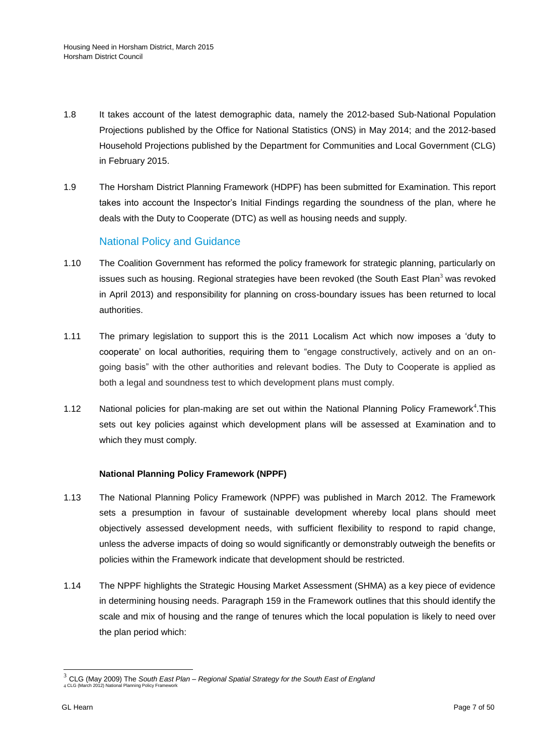- 1.8 It takes account of the latest demographic data, namely the 2012-based Sub-National Population Projections published by the Office for National Statistics (ONS) in May 2014; and the 2012-based Household Projections published by the Department for Communities and Local Government (CLG) in February 2015.
- 1.9 The Horsham District Planning Framework (HDPF) has been submitted for Examination. This report takes into account the Inspector's Initial Findings regarding the soundness of the plan, where he deals with the Duty to Cooperate (DTC) as well as housing needs and supply.

## National Policy and Guidance

- 1.10 The Coalition Government has reformed the policy framework for strategic planning, particularly on issues such as housing. Regional strategies have been revoked (the South East Plan $^3$  was revoked in April 2013) and responsibility for planning on cross-boundary issues has been returned to local authorities.
- 1.11 The primary legislation to support this is the 2011 Localism Act which now imposes a 'duty to cooperate' on local authorities, requiring them to "engage constructively, actively and on an ongoing basis" with the other authorities and relevant bodies. The Duty to Cooperate is applied as both a legal and soundness test to which development plans must comply.
- 1.12 National policies for plan-making are set out within the National Planning Policy Framework<sup>4</sup>. This sets out key policies against which development plans will be assessed at Examination and to which they must comply.

#### **National Planning Policy Framework (NPPF)**

- 1.13 The National Planning Policy Framework (NPPF) was published in March 2012. The Framework sets a presumption in favour of sustainable development whereby local plans should meet objectively assessed development needs, with sufficient flexibility to respond to rapid change, unless the adverse impacts of doing so would significantly or demonstrably outweigh the benefits or policies within the Framework indicate that development should be restricted.
- 1.14 The NPPF highlights the Strategic Housing Market Assessment (SHMA) as a key piece of evidence in determining housing needs. Paragraph 159 in the Framework outlines that this should identify the scale and mix of housing and the range of tenures which the local population is likely to need over the plan period which:

 3 CLG (May 2009) The *South East Plan – Regional Spatial Strategy for the South East of England* 4 CLG (March 2012) National Planning Policy Framework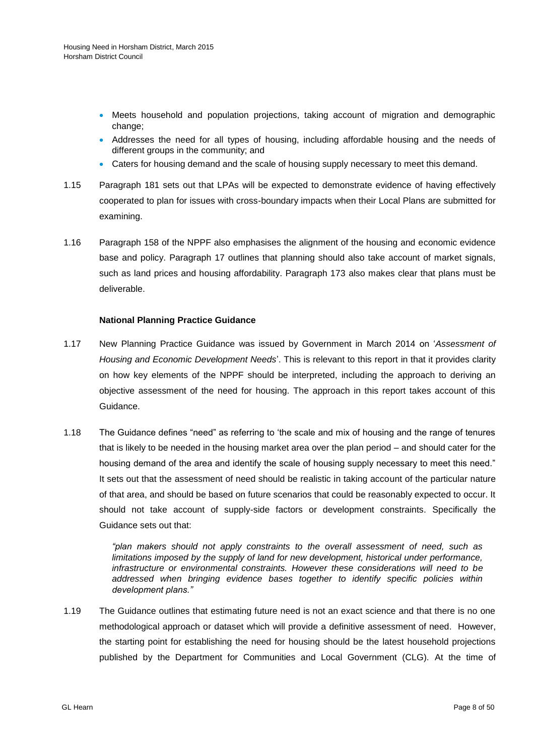- Meets household and population projections, taking account of migration and demographic change;
- Addresses the need for all types of housing, including affordable housing and the needs of different groups in the community; and
- Caters for housing demand and the scale of housing supply necessary to meet this demand.
- 1.15 Paragraph 181 sets out that LPAs will be expected to demonstrate evidence of having effectively cooperated to plan for issues with cross-boundary impacts when their Local Plans are submitted for examining.
- 1.16 Paragraph 158 of the NPPF also emphasises the alignment of the housing and economic evidence base and policy. Paragraph 17 outlines that planning should also take account of market signals, such as land prices and housing affordability. Paragraph 173 also makes clear that plans must be deliverable.

#### **National Planning Practice Guidance**

- 1.17 New Planning Practice Guidance was issued by Government in March 2014 on '*Assessment of Housing and Economic Development Needs*'. This is relevant to this report in that it provides clarity on how key elements of the NPPF should be interpreted, including the approach to deriving an objective assessment of the need for housing. The approach in this report takes account of this Guidance.
- 1.18 The Guidance defines "need" as referring to 'the scale and mix of housing and the range of tenures that is likely to be needed in the housing market area over the plan period – and should cater for the housing demand of the area and identify the scale of housing supply necessary to meet this need." It sets out that the assessment of need should be realistic in taking account of the particular nature of that area, and should be based on future scenarios that could be reasonably expected to occur. It should not take account of supply-side factors or development constraints. Specifically the Guidance sets out that:

*"plan makers should not apply constraints to the overall assessment of need, such as limitations imposed by the supply of land for new development, historical under performance, infrastructure or environmental constraints. However these considerations will need to be addressed when bringing evidence bases together to identify specific policies within development plans."*

1.19 The Guidance outlines that estimating future need is not an exact science and that there is no one methodological approach or dataset which will provide a definitive assessment of need. However, the starting point for establishing the need for housing should be the latest household projections published by the Department for Communities and Local Government (CLG). At the time of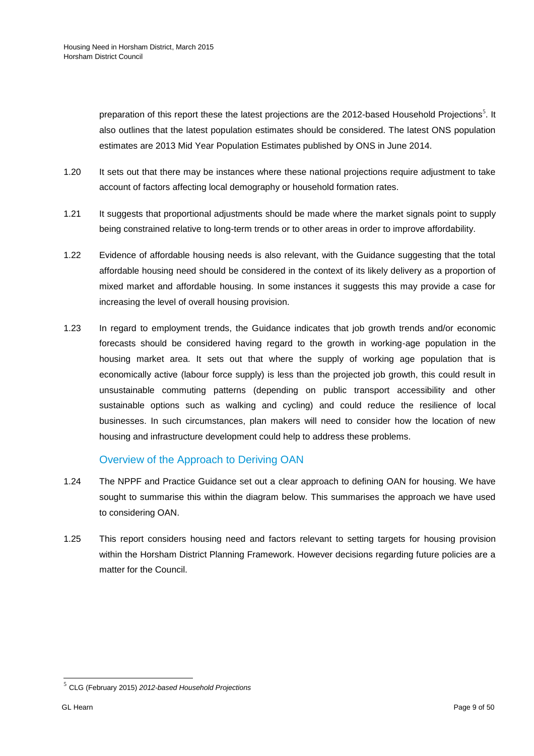preparation of this report these the latest projections are the 2012-based Household Projections<sup>5</sup>. It also outlines that the latest population estimates should be considered. The latest ONS population estimates are 2013 Mid Year Population Estimates published by ONS in June 2014.

- 1.20 It sets out that there may be instances where these national projections require adjustment to take account of factors affecting local demography or household formation rates.
- 1.21 It suggests that proportional adjustments should be made where the market signals point to supply being constrained relative to long-term trends or to other areas in order to improve affordability.
- 1.22 Evidence of affordable housing needs is also relevant, with the Guidance suggesting that the total affordable housing need should be considered in the context of its likely delivery as a proportion of mixed market and affordable housing. In some instances it suggests this may provide a case for increasing the level of overall housing provision.
- 1.23 In regard to employment trends, the Guidance indicates that job growth trends and/or economic forecasts should be considered having regard to the growth in working-age population in the housing market area. It sets out that where the supply of working age population that is economically active (labour force supply) is less than the projected job growth, this could result in unsustainable commuting patterns (depending on public transport accessibility and other sustainable options such as walking and cycling) and could reduce the resilience of local businesses. In such circumstances, plan makers will need to consider how the location of new housing and infrastructure development could help to address these problems.

## Overview of the Approach to Deriving OAN

- 1.24 The NPPF and Practice Guidance set out a clear approach to defining OAN for housing. We have sought to summarise this within the diagram below. This summarises the approach we have used to considering OAN.
- 1.25 This report considers housing need and factors relevant to setting targets for housing provision within the Horsham District Planning Framework. However decisions regarding future policies are a matter for the Council.

l

<sup>5</sup> CLG (February 2015) *2012-based Household Projections*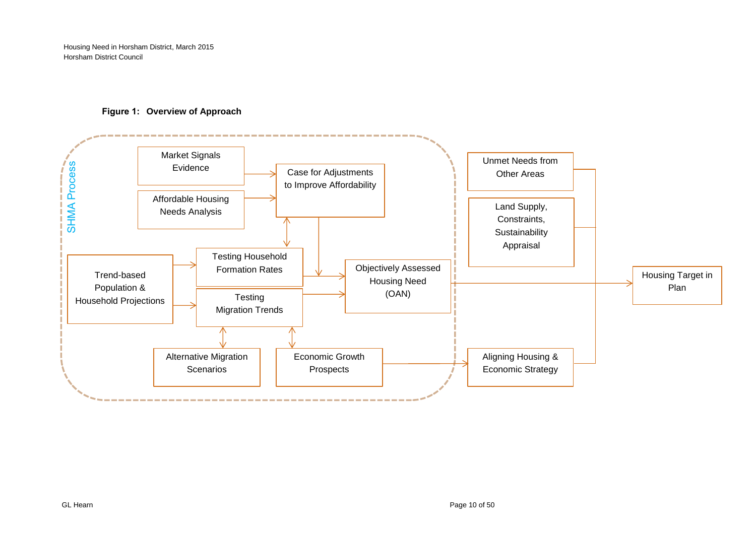## **Figure 1: Overview of Approach**

<span id="page-9-0"></span>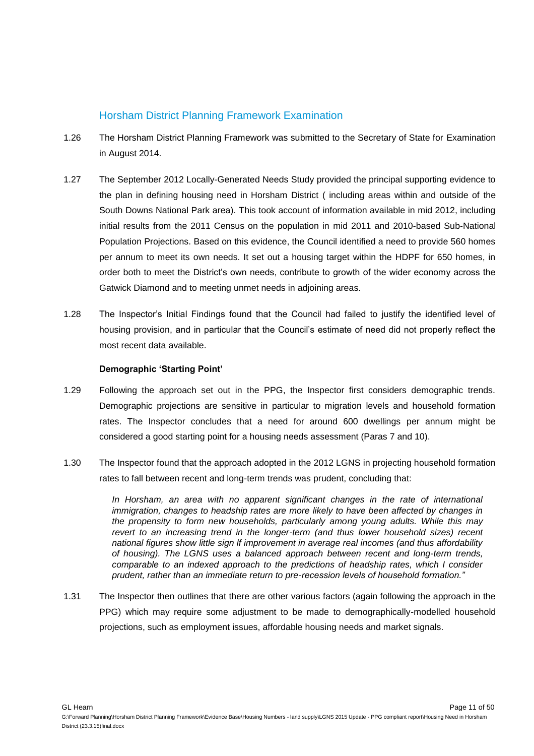## Horsham District Planning Framework Examination

- 1.26 The Horsham District Planning Framework was submitted to the Secretary of State for Examination in August 2014.
- 1.27 The September 2012 Locally-Generated Needs Study provided the principal supporting evidence to the plan in defining housing need in Horsham District ( including areas within and outside of the South Downs National Park area). This took account of information available in mid 2012, including initial results from the 2011 Census on the population in mid 2011 and 2010-based Sub-National Population Projections. Based on this evidence, the Council identified a need to provide 560 homes per annum to meet its own needs. It set out a housing target within the HDPF for 650 homes, in order both to meet the District's own needs, contribute to growth of the wider economy across the Gatwick Diamond and to meeting unmet needs in adjoining areas.
- 1.28 The Inspector's Initial Findings found that the Council had failed to justify the identified level of housing provision, and in particular that the Council's estimate of need did not properly reflect the most recent data available.

#### **Demographic 'Starting Point'**

- 1.29 Following the approach set out in the PPG, the Inspector first considers demographic trends. Demographic projections are sensitive in particular to migration levels and household formation rates. The Inspector concludes that a need for around 600 dwellings per annum might be considered a good starting point for a housing needs assessment (Paras 7 and 10).
- 1.30 The Inspector found that the approach adopted in the 2012 LGNS in projecting household formation rates to fall between recent and long-term trends was prudent, concluding that:

In Horsham, an area with no apparent significant changes in the rate of international *immigration, changes to headship rates are more likely to have been affected by changes in the propensity to form new households, particularly among young adults. While this may revert to an increasing trend in the longer-term (and thus lower household sizes) recent national figures show little sign lf improvement in average real incomes (and thus affordability of housing). The LGNS uses a balanced approach between recent and long-term trends, comparable to an indexed approach to the predictions of headship rates, which I consider prudent, rather than an immediate return to pre-recession levels of household formation."* 

1.31 The Inspector then outlines that there are other various factors (again following the approach in the PPG) which may require some adjustment to be made to demographically-modelled household projections, such as employment issues, affordable housing needs and market signals.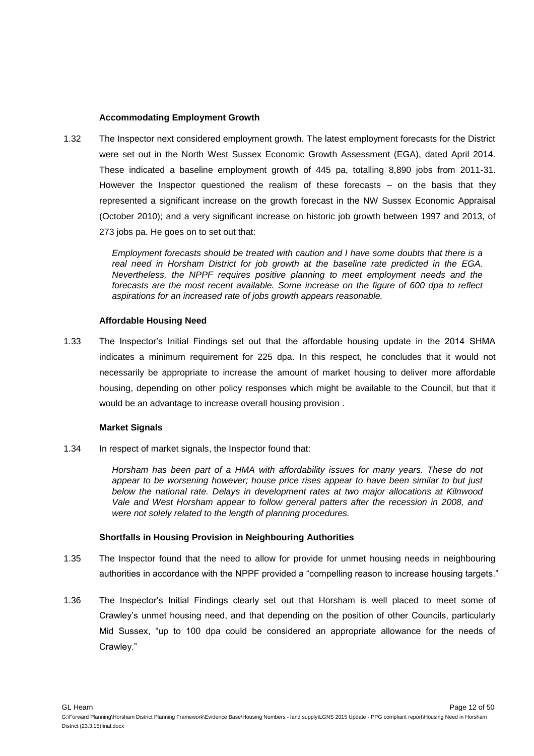#### **Accommodating Employment Growth**

1.32 The Inspector next considered employment growth. The latest employment forecasts for the District were set out in the North West Sussex Economic Growth Assessment (EGA), dated April 2014. These indicated a baseline employment growth of 445 pa, totalling 8,890 jobs from 2011-31. However the Inspector questioned the realism of these forecasts  $-$  on the basis that they represented a significant increase on the growth forecast in the NW Sussex Economic Appraisal (October 2010); and a very significant increase on historic job growth between 1997 and 2013, of 273 jobs pa. He goes on to set out that:

> *Employment forecasts should be treated with caution and I have some doubts that there is a real need in Horsham District for job growth at the baseline rate predicted in the EGA. Nevertheless, the NPPF requires positive planning to meet employment needs and the forecasts are the most recent available. Some increase on the figure of 600 dpa to reflect aspirations for an increased rate of jobs growth appears reasonable.*

#### **Affordable Housing Need**

1.33 The Inspector's Initial Findings set out that the affordable housing update in the 2014 SHMA indicates a minimum requirement for 225 dpa. In this respect, he concludes that it would not necessarily be appropriate to increase the amount of market housing to deliver more affordable housing, depending on other policy responses which might be available to the Council, but that it would be an advantage to increase overall housing provision .

#### **Market Signals**

1.34 In respect of market signals, the Inspector found that:

*Horsham has been part of a HMA with affordability issues for many years. These do not*  appear to be worsening however; house price rises appear to have been similar to but just *below the national rate. Delays in development rates at two major allocations at Kilnwood Vale and West Horsham appear to follow general patters after the recession in 2008, and were not solely related to the length of planning procedures.* 

#### **Shortfalls in Housing Provision in Neighbouring Authorities**

- 1.35 The Inspector found that the need to allow for provide for unmet housing needs in neighbouring authorities in accordance with the NPPF provided a "compelling reason to increase housing targets."
- 1.36 The Inspector's Initial Findings clearly set out that Horsham is well placed to meet some of Crawley's unmet housing need, and that depending on the position of other Councils, particularly Mid Sussex, "up to 100 dpa could be considered an appropriate allowance for the needs of Crawley."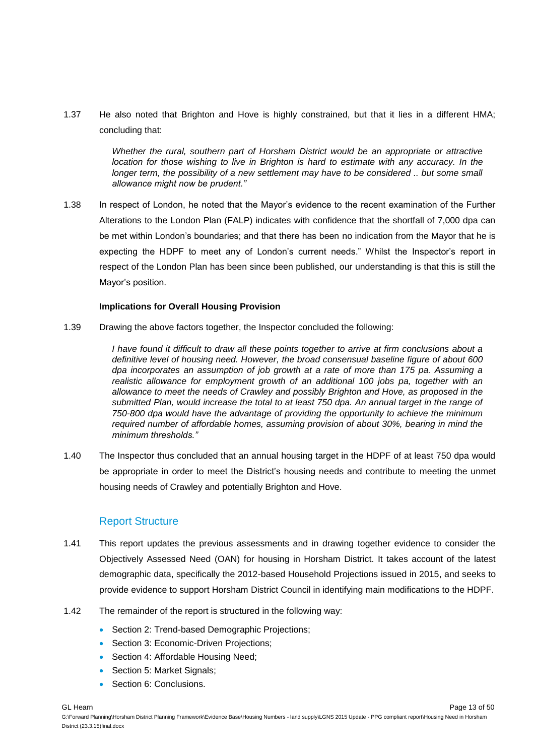1.37 He also noted that Brighton and Hove is highly constrained, but that it lies in a different HMA; concluding that:

> *Whether the rural, southern part of Horsham District would be an appropriate or attractive location for those wishing to live in Brighton is hard to estimate with any accuracy. In the longer term, the possibility of a new settlement may have to be considered .. but some small allowance might now be prudent."*

1.38 In respect of London, he noted that the Mayor's evidence to the recent examination of the Further Alterations to the London Plan (FALP) indicates with confidence that the shortfall of 7,000 dpa can be met within London's boundaries; and that there has been no indication from the Mayor that he is expecting the HDPF to meet any of London's current needs." Whilst the Inspector's report in respect of the London Plan has been since been published, our understanding is that this is still the Mayor's position.

#### **Implications for Overall Housing Provision**

1.39 Drawing the above factors together, the Inspector concluded the following:

*I have found it difficult to draw all these points together to arrive at firm conclusions about a definitive level of housing need. However, the broad consensual baseline figure of about 600 dpa incorporates an assumption of job growth at a rate of more than 175 pa. Assuming a realistic allowance for employment growth of an additional 100 jobs pa, together with an allowance to meet the needs of Crawley and possibly Brighton and Hove, as proposed in the submitted Plan, would increase the total to at least 750 dpa. An annual target in the range of 750-800 dpa would have the advantage of providing the opportunity to achieve the minimum required number of affordable homes, assuming provision of about 30%, bearing in mind the minimum thresholds."* 

1.40 The Inspector thus concluded that an annual housing target in the HDPF of at least 750 dpa would be appropriate in order to meet the District's housing needs and contribute to meeting the unmet housing needs of Crawley and potentially Brighton and Hove.

#### Report Structure

- 1.41 This report updates the previous assessments and in drawing together evidence to consider the Objectively Assessed Need (OAN) for housing in Horsham District. It takes account of the latest demographic data, specifically the 2012-based Household Projections issued in 2015, and seeks to provide evidence to support Horsham District Council in identifying main modifications to the HDPF.
- 1.42 The remainder of the report is structured in the following way:
	- Section 2: Trend-based Demographic Projections;
	- Section 3: Economic-Driven Projections;
	- Section 4: Affordable Housing Need;
	- Section 5: Market Signals;
	- Section 6: Conclusions.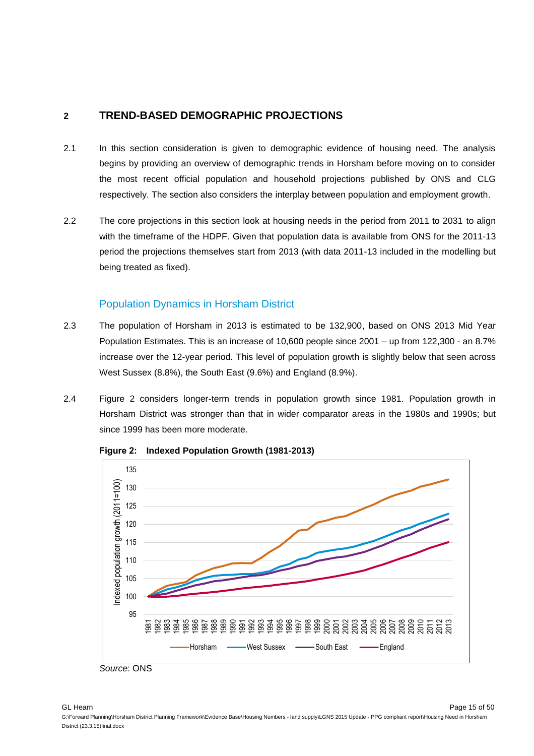## **2 TREND-BASED DEMOGRAPHIC PROJECTIONS**

- 2.1 In this section consideration is given to demographic evidence of housing need. The analysis begins by providing an overview of demographic trends in Horsham before moving on to consider the most recent official population and household projections published by ONS and CLG respectively. The section also considers the interplay between population and employment growth.
- 2.2 The core projections in this section look at housing needs in the period from 2011 to 2031 to align with the timeframe of the HDPF. Given that population data is available from ONS for the 2011-13 period the projections themselves start from 2013 (with data 2011-13 included in the modelling but being treated as fixed).

## Population Dynamics in Horsham District

- 2.3 The population of Horsham in 2013 is estimated to be 132,900, based on ONS 2013 Mid Year Population Estimates. This is an increase of 10,600 people since 2001 – up from 122,300 - an 8.7% increase over the 12-year period*.* This level of population growth is slightly below that seen across West Sussex (8.8%), the South East (9.6%) and England (8.9%).
- 2.4 Figure 2 considers longer-term trends in population growth since 1981. Population growth in Horsham District was stronger than that in wider comparator areas in the 1980s and 1990s; but since 1999 has been more moderate.



<span id="page-14-0"></span>**Figure 2: Indexed Population Growth (1981-2013)**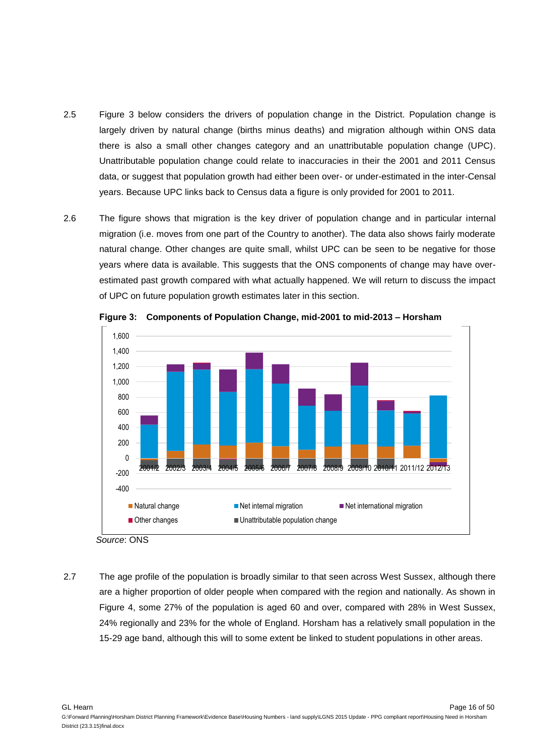- 2.5 Figure 3 below considers the drivers of population change in the District. Population change is largely driven by natural change (births minus deaths) and migration although within ONS data there is also a small other changes category and an unattributable population change (UPC). Unattributable population change could relate to inaccuracies in their the 2001 and 2011 Census data, or suggest that population growth had either been over- or under-estimated in the inter-Censal years. Because UPC links back to Census data a figure is only provided for 2001 to 2011.
- 2.6 The figure shows that migration is the key driver of population change and in particular internal migration (i.e. moves from one part of the Country to another). The data also shows fairly moderate natural change. Other changes are quite small, whilst UPC can be seen to be negative for those years where data is available. This suggests that the ONS components of change may have overestimated past growth compared with what actually happened. We will return to discuss the impact of UPC on future population growth estimates later in this section.



<span id="page-15-0"></span>**Figure 3: Components of Population Change, mid-2001 to mid-2013 – Horsham**

*Source*: ONS

2.7 The age profile of the population is broadly similar to that seen across West Sussex, although there are a higher proportion of older people when compared with the region and nationally. As shown in Figure 4, some 27% of the population is aged 60 and over, compared with 28% in West Sussex, 24% regionally and 23% for the whole of England. Horsham has a relatively small population in the 15-29 age band, although this will to some extent be linked to student populations in other areas.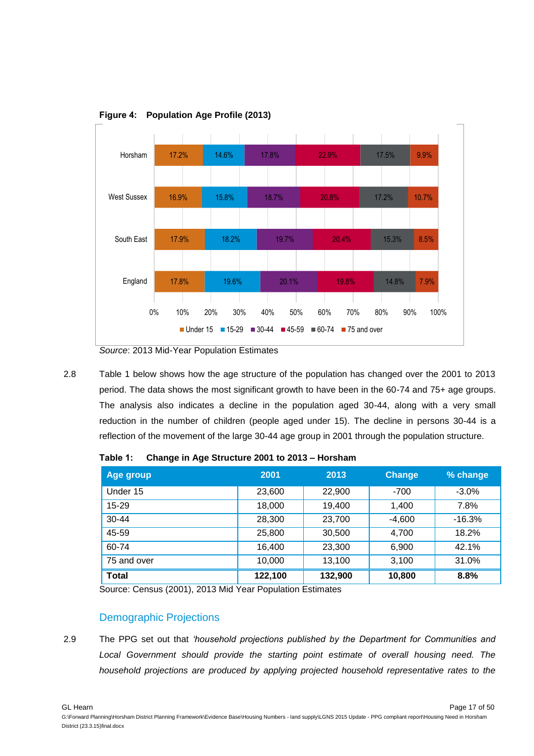<span id="page-16-0"></span>

**Figure 4: Population Age Profile (2013)**

*Source*: 2013 Mid-Year Population Estimates

2.8 Table 1 below shows how the age structure of the population has changed over the 2001 to 2013 period. The data shows the most significant growth to have been in the 60-74 and 75+ age groups. The analysis also indicates a decline in the population aged 30-44, along with a very small reduction in the number of children (people aged under 15). The decline in persons 30-44 is a reflection of the movement of the large 30-44 age group in 2001 through the population structure.

| Age group    | 2001    | 2013    | <b>Change</b> | % change |
|--------------|---------|---------|---------------|----------|
| Under 15     | 23,600  | 22,900  | $-700$        | $-3.0\%$ |
| $15 - 29$    | 18,000  | 19,400  | 1,400         | 7.8%     |
| $30 - 44$    | 28,300  | 23,700  | $-4,600$      | $-16.3%$ |
| 45-59        | 25,800  | 30,500  | 4,700         | 18.2%    |
| 60-74        | 16,400  | 23,300  | 6,900         | 42.1%    |
| 75 and over  | 10,000  | 13,100  | 3,100         | 31.0%    |
| <b>Total</b> | 122,100 | 132,900 | 10,800        | 8.8%     |

<span id="page-16-1"></span>**Table 1: Change in Age Structure 2001 to 2013 – Horsham**

Source: Census (2001), 2013 Mid Year Population Estimates

## Demographic Projections

2.9 The PPG set out that *'household projections published by the Department for Communities and*  Local Government should provide the starting point estimate of overall housing need. The *household projections are produced by applying projected household representative rates to the*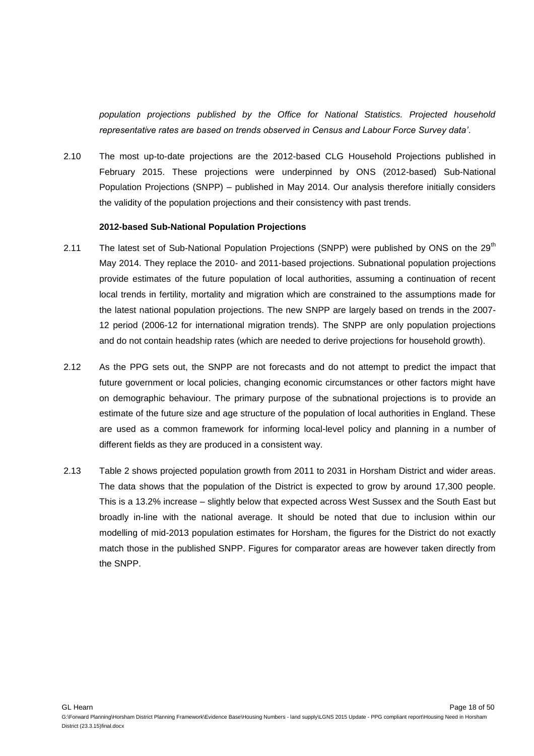*population projections published by the Office for National Statistics. Projected household representative rates are based on trends observed in Census and Labour Force Survey data'*.

2.10 The most up-to-date projections are the 2012-based CLG Household Projections published in February 2015. These projections were underpinned by ONS (2012-based) Sub-National Population Projections (SNPP) – published in May 2014. Our analysis therefore initially considers the validity of the population projections and their consistency with past trends.

#### **2012-based Sub-National Population Projections**

- 2.11 The latest set of Sub-National Population Projections (SNPP) were published by ONS on the 29<sup>th</sup> May 2014. They replace the 2010- and 2011-based projections. Subnational population projections provide estimates of the future population of local authorities, assuming a continuation of recent local trends in fertility, mortality and migration which are constrained to the assumptions made for the latest national population projections. The new SNPP are largely based on trends in the 2007- 12 period (2006-12 for international migration trends). The SNPP are only population projections and do not contain headship rates (which are needed to derive projections for household growth).
- 2.12 As the PPG sets out, the SNPP are not forecasts and do not attempt to predict the impact that future government or local policies, changing economic circumstances or other factors might have on demographic behaviour. The primary purpose of the subnational projections is to provide an estimate of the future size and age structure of the population of local authorities in England. These are used as a common framework for informing local-level policy and planning in a number of different fields as they are produced in a consistent way.
- 2.13 Table 2 shows projected population growth from 2011 to 2031 in Horsham District and wider areas. The data shows that the population of the District is expected to grow by around 17,300 people. This is a 13.2% increase – slightly below that expected across West Sussex and the South East but broadly in-line with the national average. It should be noted that due to inclusion within our modelling of mid-2013 population estimates for Horsham, the figures for the District do not exactly match those in the published SNPP. Figures for comparator areas are however taken directly from the SNPP.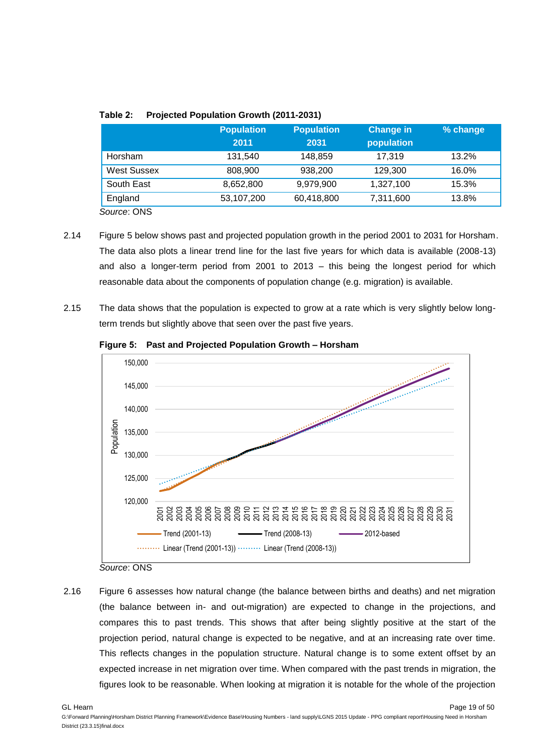|                | <b>Population</b><br>2011 | <b>Population</b><br>2031 | <b>Change in</b><br>population | % change |
|----------------|---------------------------|---------------------------|--------------------------------|----------|
| <b>Horsham</b> | 131,540                   | 148,859                   | 17.319                         | 13.2%    |
| West Sussex    | 808,900                   | 938,200                   | 129,300                        | 16.0%    |
| South East     | 8.652.800                 | 9,979,900                 | 1,327,100                      | 15.3%    |
| England        | 53,107,200                | 60,418,800                | 7,311,600                      | 13.8%    |
| Source: ONS    |                           |                           |                                |          |

#### <span id="page-18-1"></span>**Table 2: Projected Population Growth (2011-2031)**

2.14 Figure 5 below shows past and projected population growth in the period 2001 to 2031 for Horsham. The data also plots a linear trend line for the last five years for which data is available (2008-13) and also a longer-term period from 2001 to 2013 – this being the longest period for which reasonable data about the components of population change (e.g. migration) is available.

<span id="page-18-0"></span>2.15 The data shows that the population is expected to grow at a rate which is very slightly below longterm trends but slightly above that seen over the past five years.



**Figure 5: Past and Projected Population Growth – Horsham**

*Source*: ONS

2.16 Figure 6 assesses how natural change (the balance between births and deaths) and net migration (the balance between in- and out-migration) are expected to change in the projections, and compares this to past trends. This shows that after being slightly positive at the start of the projection period, natural change is expected to be negative, and at an increasing rate over time. This reflects changes in the population structure. Natural change is to some extent offset by an expected increase in net migration over time. When compared with the past trends in migration, the figures look to be reasonable. When looking at migration it is notable for the whole of the projection

Trend (2001-13) **Trend** (2008-13) **Trend** (2008-13)

......... Linear (Trend (2001-13)) ......... Linear (Trend (2008-13))

2001 2002 2003 2004 2005 2006 2007 2008 2009 2010 2011 2012 2013 2014 2015 2016 2017 2018 2019 2020 2021 2022 2023 2024 2025 2026 2027 2028 2029 2030 2031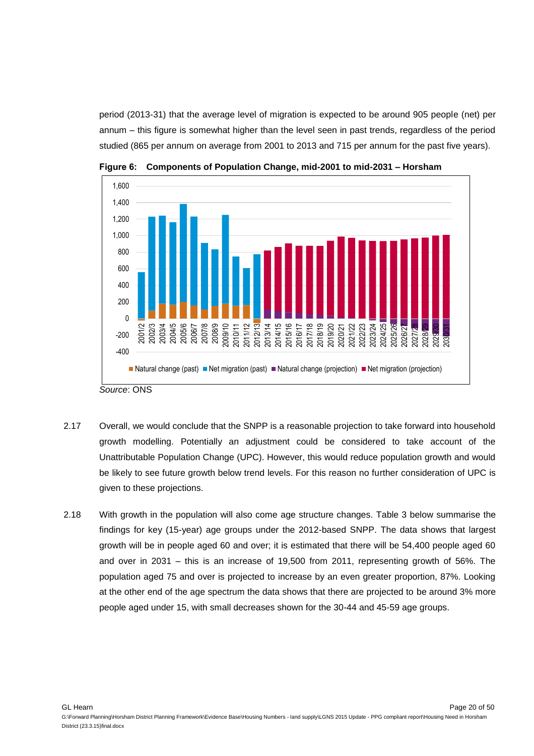period (2013-31) that the average level of migration is expected to be around 905 people (net) per annum – this figure is somewhat higher than the level seen in past trends, regardless of the period studied (865 per annum on average from 2001 to 2013 and 715 per annum for the past five years).



<span id="page-19-0"></span>**Figure 6: Components of Population Change, mid-2001 to mid-2031 – Horsham**

- 2.17 Overall, we would conclude that the SNPP is a reasonable projection to take forward into household growth modelling. Potentially an adjustment could be considered to take account of the Unattributable Population Change (UPC). However, this would reduce population growth and would be likely to see future growth below trend levels. For this reason no further consideration of UPC is given to these projections.
- 2.18 With growth in the population will also come age structure changes. Table 3 below summarise the findings for key (15-year) age groups under the 2012-based SNPP. The data shows that largest growth will be in people aged 60 and over; it is estimated that there will be 54,400 people aged 60 and over in 2031 – this is an increase of 19,500 from 2011, representing growth of 56%. The population aged 75 and over is projected to increase by an even greater proportion, 87%. Looking at the other end of the age spectrum the data shows that there are projected to be around 3% more people aged under 15, with small decreases shown for the 30-44 and 45-59 age groups.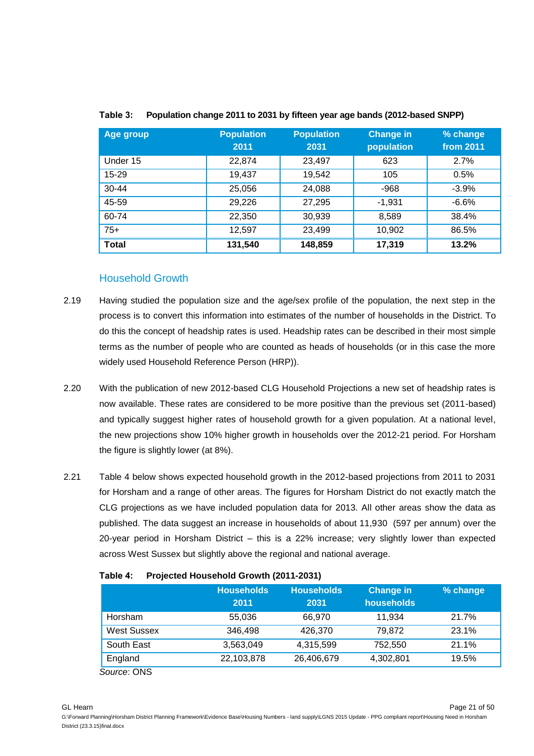| Age group    | <b>Population</b><br>2011 | <b>Population</b><br>2031 | <b>Change in</b><br>population | % change<br><b>from 2011</b> |
|--------------|---------------------------|---------------------------|--------------------------------|------------------------------|
| Under 15     | 22,874                    | 23,497                    | 623                            | 2.7%                         |
| $15 - 29$    | 19,437                    | 19,542                    | 105                            | 0.5%                         |
| 30-44        | 25,056                    | 24,088                    | $-968$                         | $-3.9%$                      |
| 45-59        | 29,226                    | 27,295                    | $-1,931$                       | $-6.6%$                      |
| 60-74        | 22,350                    | 30,939                    | 8,589                          | 38.4%                        |
| $75+$        | 12,597                    | 23,499                    | 10,902                         | 86.5%                        |
| <b>Total</b> | 131,540                   | 148,859                   | 17,319                         | 13.2%                        |

#### <span id="page-20-0"></span>**Table 3: Population change 2011 to 2031 by fifteen year age bands (2012-based SNPP)**

## Household Growth

- 2.19 Having studied the population size and the age/sex profile of the population, the next step in the process is to convert this information into estimates of the number of households in the District. To do this the concept of headship rates is used. Headship rates can be described in their most simple terms as the number of people who are counted as heads of households (or in this case the more widely used Household Reference Person (HRP)).
- 2.20 With the publication of new 2012-based CLG Household Projections a new set of headship rates is now available. These rates are considered to be more positive than the previous set (2011-based) and typically suggest higher rates of household growth for a given population. At a national level, the new projections show 10% higher growth in households over the 2012-21 period. For Horsham the figure is slightly lower (at 8%).
- 2.21 Table 4 below shows expected household growth in the 2012-based projections from 2011 to 2031 for Horsham and a range of other areas. The figures for Horsham District do not exactly match the CLG projections as we have included population data for 2013. All other areas show the data as published. The data suggest an increase in households of about 11,930 (597 per annum) over the 20-year period in Horsham District – this is a 22% increase; very slightly lower than expected across West Sussex but slightly above the regional and national average.

|                    | <b>Households</b><br>2011 | <b>Households</b><br>2031 | <b>Change in</b><br>households | % change |
|--------------------|---------------------------|---------------------------|--------------------------------|----------|
| Horsham            | 55,036                    | 66,970                    | 11.934                         | 21.7%    |
| <b>West Sussex</b> | 346,498                   | 426,370                   | 79.872                         | 23.1%    |
| South East         | 3,563,049                 | 4.315.599                 | 752.550                        | 21.1%    |
| England            | 22,103,878                | 26,406,679                | 4,302,801                      | 19.5%    |
| Source: ONS        |                           |                           |                                |          |

#### <span id="page-20-1"></span>**Table 4: Projected Household Growth (2011-2031)**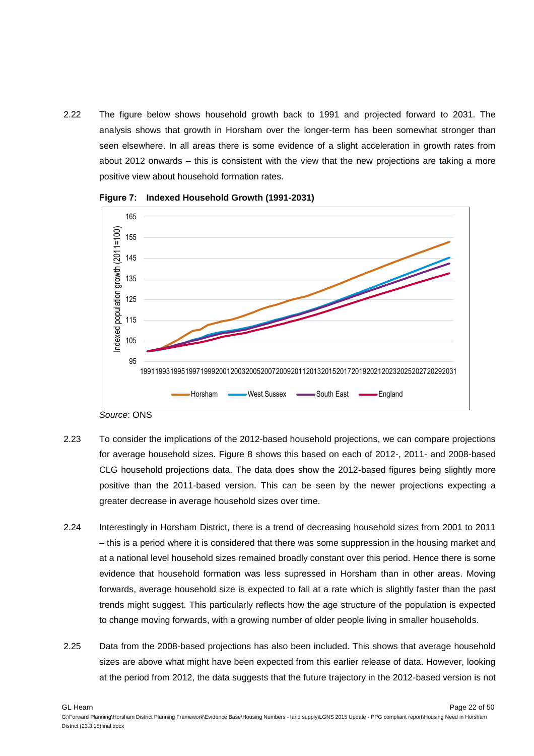2.22 The figure below shows household growth back to 1991 and projected forward to 2031. The analysis shows that growth in Horsham over the longer-term has been somewhat stronger than seen elsewhere. In all areas there is some evidence of a slight acceleration in growth rates from about 2012 onwards – this is consistent with the view that the new projections are taking a more positive view about household formation rates.



<span id="page-21-0"></span>**Figure 7: Indexed Household Growth (1991-2031)**

- 2.23 To consider the implications of the 2012-based household projections, we can compare projections for average household sizes. Figure 8 shows this based on each of 2012-, 2011- and 2008-based CLG household projections data. The data does show the 2012-based figures being slightly more positive than the 2011-based version. This can be seen by the newer projections expecting a greater decrease in average household sizes over time.
- 2.24 Interestingly in Horsham District, there is a trend of decreasing household sizes from 2001 to 2011 – this is a period where it is considered that there was some suppression in the housing market and at a national level household sizes remained broadly constant over this period. Hence there is some evidence that household formation was less supressed in Horsham than in other areas. Moving forwards, average household size is expected to fall at a rate which is slightly faster than the past trends might suggest. This particularly reflects how the age structure of the population is expected to change moving forwards, with a growing number of older people living in smaller households.
- 2.25 Data from the 2008-based projections has also been included. This shows that average household sizes are above what might have been expected from this earlier release of data. However, looking at the period from 2012, the data suggests that the future trajectory in the 2012-based version is not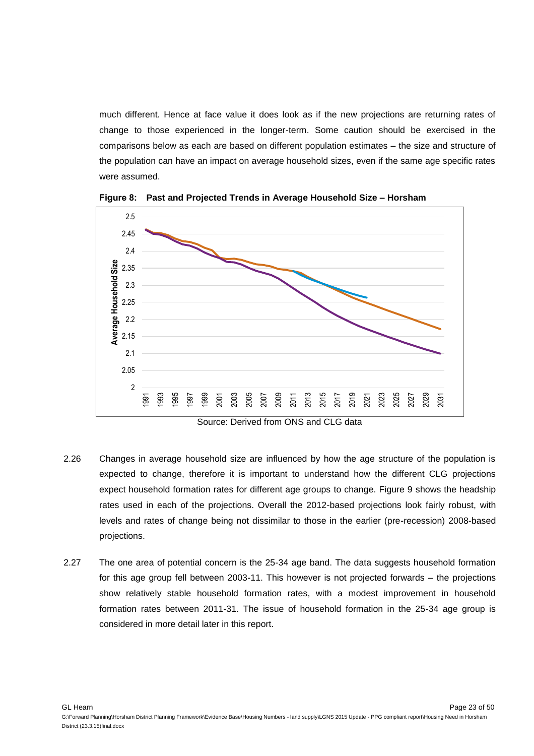much different. Hence at face value it does look as if the new projections are returning rates of change to those experienced in the longer-term. Some caution should be exercised in the comparisons below as each are based on different population estimates – the size and structure of the population can have an impact on average household sizes, even if the same age specific rates were assumed.



<span id="page-22-0"></span>**Figure 8: Past and Projected Trends in Average Household Size – Horsham**

Source: Derived from ONS and CLG data

- 2.26 Changes in average household size are influenced by how the age structure of the population is expected to change, therefore it is important to understand how the different CLG projections expect household formation rates for different age groups to change. Figure 9 shows the headship rates used in each of the projections. Overall the 2012-based projections look fairly robust, with levels and rates of change being not dissimilar to those in the earlier (pre-recession) 2008-based projections.
- 2.27 The one area of potential concern is the 25-34 age band. The data suggests household formation for this age group fell between 2003-11. This however is not projected forwards – the projections show relatively stable household formation rates, with a modest improvement in household formation rates between 2011-31. The issue of household formation in the 25-34 age group is considered in more detail later in this report.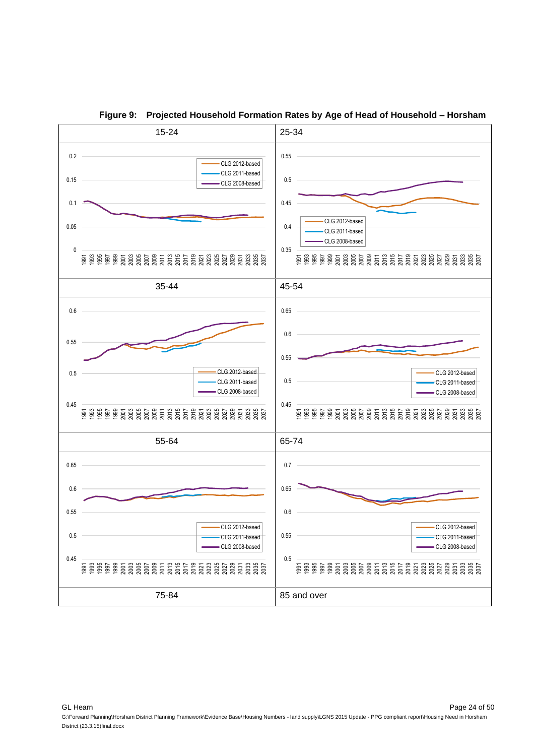<span id="page-23-0"></span>

**Figure 9: Projected Household Formation Rates by Age of Head of Household – Horsham**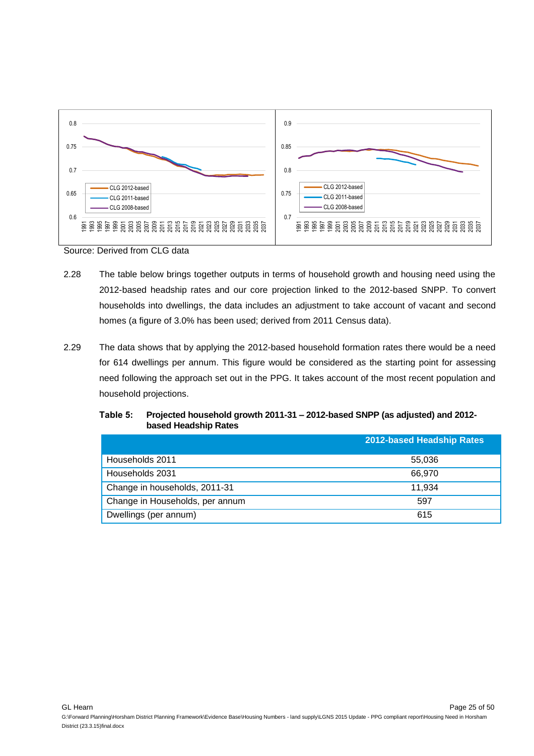

Source: Derived from CLG data

- 2.28 The table below brings together outputs in terms of household growth and housing need using the 2012-based headship rates and our core projection linked to the 2012-based SNPP. To convert households into dwellings, the data includes an adjustment to take account of vacant and second homes (a figure of 3.0% has been used; derived from 2011 Census data).
- 2.29 The data shows that by applying the 2012-based household formation rates there would be a need for 614 dwellings per annum. This figure would be considered as the starting point for assessing need following the approach set out in the PPG. It takes account of the most recent population and household projections.

## <span id="page-24-0"></span>**Table 5: Projected household growth 2011-31 – 2012-based SNPP (as adjusted) and 2012 based Headship Rates**

|                                 | 2012-based Headship Rates |
|---------------------------------|---------------------------|
| Households 2011                 | 55.036                    |
| Households 2031                 | 66.970                    |
| Change in households, 2011-31   | 11.934                    |
| Change in Households, per annum | 597                       |
| Dwellings (per annum)           | 615                       |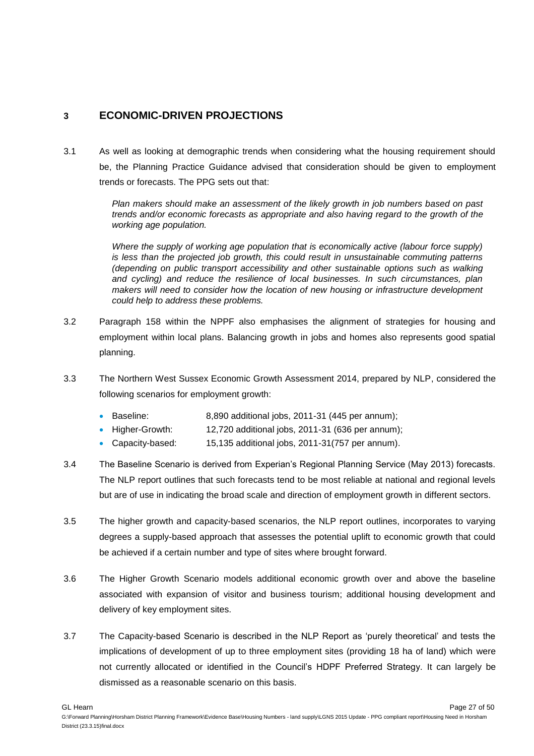## **3 ECONOMIC-DRIVEN PROJECTIONS**

3.1 As well as looking at demographic trends when considering what the housing requirement should be, the Planning Practice Guidance advised that consideration should be given to employment trends or forecasts. The PPG sets out that:

> *Plan makers should make an assessment of the likely growth in job numbers based on past trends and/or economic forecasts as appropriate and also having regard to the growth of the working age population.*

> *Where the supply of working age population that is economically active (labour force supply) is less than the projected job growth, this could result in unsustainable commuting patterns (depending on public transport accessibility and other sustainable options such as walking and cycling) and reduce the resilience of local businesses. In such circumstances, plan makers will need to consider how the location of new housing or infrastructure development could help to address these problems.*

- 3.2 Paragraph 158 within the NPPF also emphasises the alignment of strategies for housing and employment within local plans. Balancing growth in jobs and homes also represents good spatial planning.
- 3.3 The Northern West Sussex Economic Growth Assessment 2014, prepared by NLP, considered the following scenarios for employment growth:
	- Baseline: 8,890 additional jobs, 2011-31 (445 per annum);
	- Higher-Growth: 12,720 additional jobs, 2011-31 (636 per annum);
	- Capacity-based: 15,135 additional jobs, 2011-31(757 per annum).
- 3.4 The Baseline Scenario is derived from Experian's Regional Planning Service (May 2013) forecasts. The NLP report outlines that such forecasts tend to be most reliable at national and regional levels but are of use in indicating the broad scale and direction of employment growth in different sectors.
- 3.5 The higher growth and capacity-based scenarios, the NLP report outlines, incorporates to varying degrees a supply-based approach that assesses the potential uplift to economic growth that could be achieved if a certain number and type of sites where brought forward.
- 3.6 The Higher Growth Scenario models additional economic growth over and above the baseline associated with expansion of visitor and business tourism; additional housing development and delivery of key employment sites.
- 3.7 The Capacity-based Scenario is described in the NLP Report as 'purely theoretical' and tests the implications of development of up to three employment sites (providing 18 ha of land) which were not currently allocated or identified in the Council's HDPF Preferred Strategy. It can largely be dismissed as a reasonable scenario on this basis.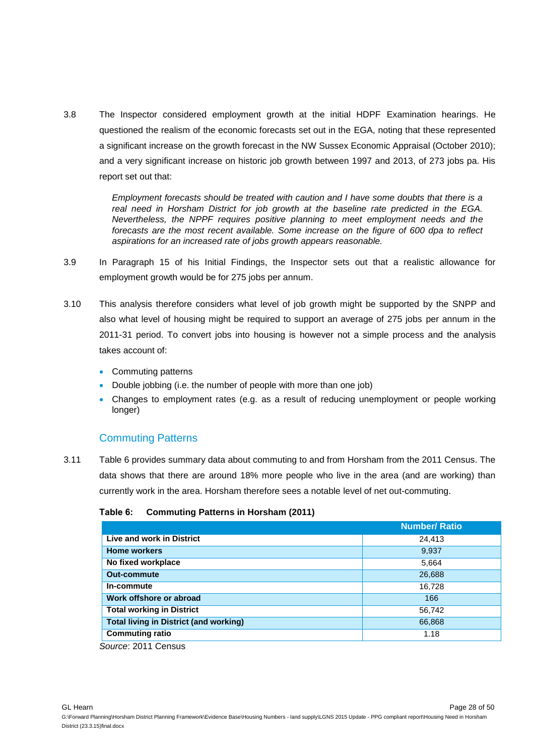3.8 The Inspector considered employment growth at the initial HDPF Examination hearings. He questioned the realism of the economic forecasts set out in the EGA, noting that these represented a significant increase on the growth forecast in the NW Sussex Economic Appraisal (October 2010); and a very significant increase on historic job growth between 1997 and 2013, of 273 jobs pa. His report set out that:

> *Employment forecasts should be treated with caution and I have some doubts that there is a real need in Horsham District for job growth at the baseline rate predicted in the EGA. Nevertheless, the NPPF requires positive planning to meet employment needs and the forecasts are the most recent available. Some increase on the figure of 600 dpa to reflect aspirations for an increased rate of jobs growth appears reasonable.*

- 3.9 In Paragraph 15 of his Initial Findings, the Inspector sets out that a realistic allowance for employment growth would be for 275 jobs per annum.
- 3.10 This analysis therefore considers what level of job growth might be supported by the SNPP and also what level of housing might be required to support an average of 275 jobs per annum in the 2011-31 period. To convert jobs into housing is however not a simple process and the analysis takes account of:
	- Commuting patterns
	- Double jobbing (i.e. the number of people with more than one job)
	- Changes to employment rates (e.g. as a result of reducing unemployment or people working longer)

## Commuting Patterns

3.11 Table 6 provides summary data about commuting to and from Horsham from the 2011 Census. The data shows that there are around 18% more people who live in the area (and are working) than currently work in the area. Horsham therefore sees a notable level of net out-commuting.

<span id="page-27-0"></span>

| Table 6: | <b>Commuting Patterns in Horsham (2011)</b> |  |  |  |
|----------|---------------------------------------------|--|--|--|
|----------|---------------------------------------------|--|--|--|

|                                               | Number/ Ratio |
|-----------------------------------------------|---------------|
| Live and work in District                     | 24,413        |
| <b>Home workers</b>                           | 9,937         |
| No fixed workplace                            | 5,664         |
| <b>Out-commute</b>                            | 26,688        |
| In-commute                                    | 16,728        |
| Work offshore or abroad                       | 166           |
| <b>Total working in District</b>              | 56,742        |
| <b>Total living in District (and working)</b> | 66,868        |
| <b>Commuting ratio</b><br>-----               | 1.18          |

*Source*: 2011 Census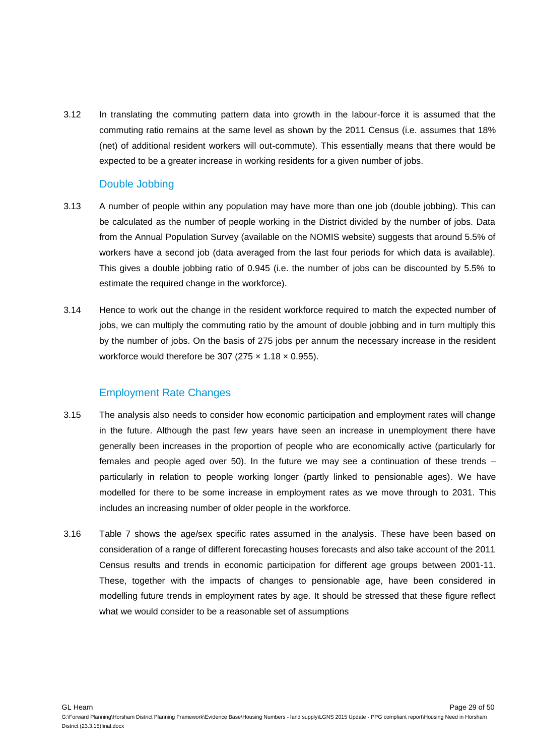3.12 In translating the commuting pattern data into growth in the labour-force it is assumed that the commuting ratio remains at the same level as shown by the 2011 Census (i.e. assumes that 18% (net) of additional resident workers will out-commute). This essentially means that there would be expected to be a greater increase in working residents for a given number of jobs.

## Double Jobbing

- 3.13 A number of people within any population may have more than one job (double jobbing). This can be calculated as the number of people working in the District divided by the number of jobs. Data from the Annual Population Survey (available on the NOMIS website) suggests that around 5.5% of workers have a second job (data averaged from the last four periods for which data is available). This gives a double jobbing ratio of 0.945 (i.e. the number of jobs can be discounted by 5.5% to estimate the required change in the workforce).
- 3.14 Hence to work out the change in the resident workforce required to match the expected number of jobs, we can multiply the commuting ratio by the amount of double jobbing and in turn multiply this by the number of jobs. On the basis of 275 jobs per annum the necessary increase in the resident workforce would therefore be 307 (275  $\times$  1.18  $\times$  0.955).

## Employment Rate Changes

- 3.15 The analysis also needs to consider how economic participation and employment rates will change in the future. Although the past few years have seen an increase in unemployment there have generally been increases in the proportion of people who are economically active (particularly for females and people aged over 50). In the future we may see a continuation of these trends – particularly in relation to people working longer (partly linked to pensionable ages). We have modelled for there to be some increase in employment rates as we move through to 2031. This includes an increasing number of older people in the workforce.
- 3.16 Table 7 shows the age/sex specific rates assumed in the analysis. These have been based on consideration of a range of different forecasting houses forecasts and also take account of the 2011 Census results and trends in economic participation for different age groups between 2001-11. These, together with the impacts of changes to pensionable age, have been considered in modelling future trends in employment rates by age. It should be stressed that these figure reflect what we would consider to be a reasonable set of assumptions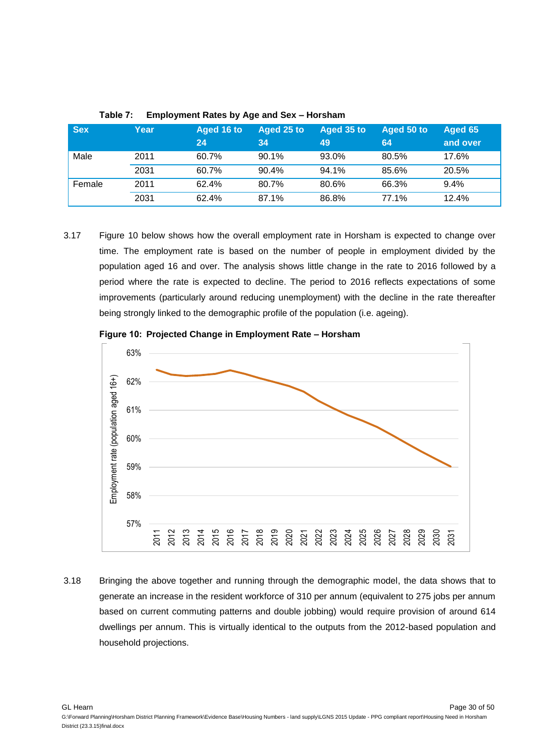<span id="page-29-1"></span>

| <b>Sex</b> | Year | Aged 16 to<br>24 | Aged 25 to<br>34 | Aged 35 to<br>49 | Aged 50 to<br>64 | Aged 65<br>and over |
|------------|------|------------------|------------------|------------------|------------------|---------------------|
| Male       | 2011 | 60.7%            | 90.1%            | 93.0%            | 80.5%            | 17.6%               |
|            | 2031 | 60.7%            | 90.4%            | 94.1%            | 85.6%            | 20.5%               |
| Female     | 2011 | 62.4%            | 80.7%            | 80.6%            | 66.3%            | 9.4%                |
|            | 2031 | 62.4%            | 87.1%            | 86.8%            | 77.1%            | 12.4%               |

|  | Table 7: Employment Rates by Age and Sex - Horsham |
|--|----------------------------------------------------|
|--|----------------------------------------------------|

3.17 Figure 10 below shows how the overall employment rate in Horsham is expected to change over time. The employment rate is based on the number of people in employment divided by the population aged 16 and over. The analysis shows little change in the rate to 2016 followed by a period where the rate is expected to decline. The period to 2016 reflects expectations of some improvements (particularly around reducing unemployment) with the decline in the rate thereafter being strongly linked to the demographic profile of the population (i.e. ageing).

<span id="page-29-0"></span>



3.18 Bringing the above together and running through the demographic model, the data shows that to generate an increase in the resident workforce of 310 per annum (equivalent to 275 jobs per annum based on current commuting patterns and double jobbing) would require provision of around 614 dwellings per annum. This is virtually identical to the outputs from the 2012-based population and household projections.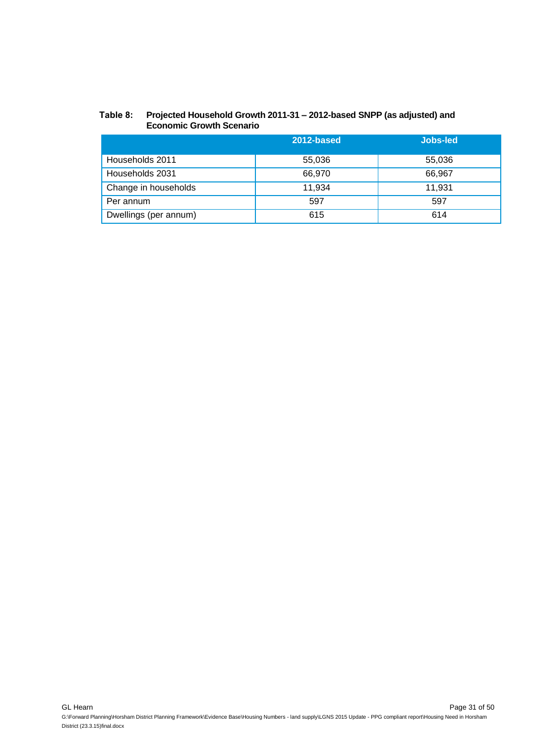#### <span id="page-30-0"></span>**Table 8: Projected Household Growth 2011-31 – 2012-based SNPP (as adjusted) and Economic Growth Scenario**

|                       | 2012-based | Jobs-led |
|-----------------------|------------|----------|
| Households 2011       | 55,036     | 55,036   |
| Households 2031       | 66,970     | 66,967   |
| Change in households  | 11,934     | 11,931   |
| Per annum             | 597        | 597      |
| Dwellings (per annum) | 615        | 614      |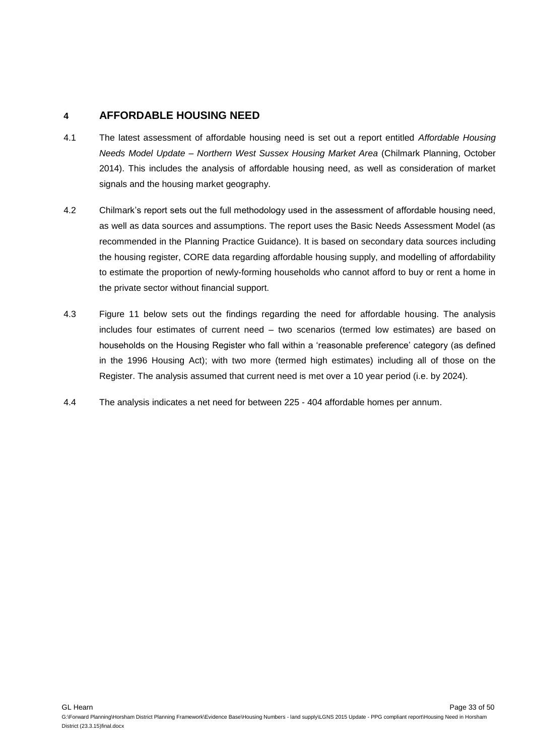## **4 AFFORDABLE HOUSING NEED**

- 4.1 The latest assessment of affordable housing need is set out a report entitled *Affordable Housing Needs Model Update – Northern West Sussex Housing Market Area* (Chilmark Planning, October 2014). This includes the analysis of affordable housing need, as well as consideration of market signals and the housing market geography.
- 4.2 Chilmark's report sets out the full methodology used in the assessment of affordable housing need, as well as data sources and assumptions. The report uses the Basic Needs Assessment Model (as recommended in the Planning Practice Guidance). It is based on secondary data sources including the housing register, CORE data regarding affordable housing supply, and modelling of affordability to estimate the proportion of newly-forming households who cannot afford to buy or rent a home in the private sector without financial support.
- 4.3 Figure 11 below sets out the findings regarding the need for affordable housing. The analysis includes four estimates of current need – two scenarios (termed low estimates) are based on households on the Housing Register who fall within a 'reasonable preference' category (as defined in the 1996 Housing Act); with two more (termed high estimates) including all of those on the Register. The analysis assumed that current need is met over a 10 year period (i.e. by 2024).
- 4.4 The analysis indicates a net need for between 225 404 affordable homes per annum.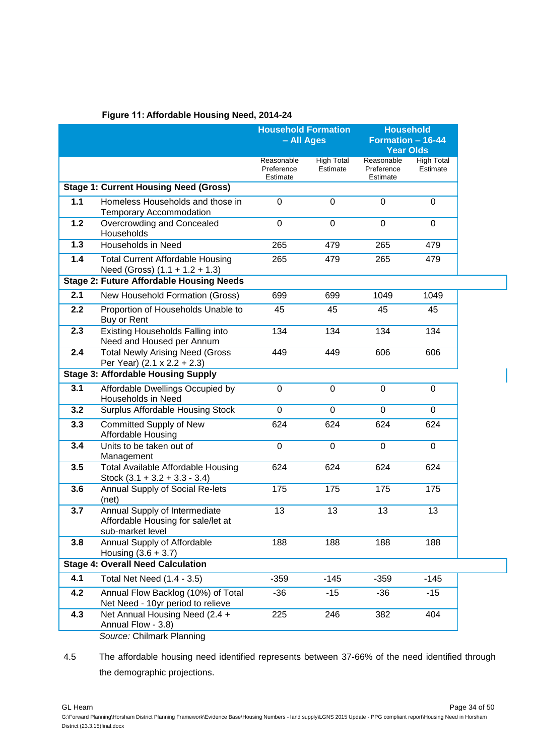<span id="page-33-0"></span>

|                                          |                                                                                         | <b>Household Formation</b><br>- All Ages |                               | <b>Household</b><br>Formation - 16-44 |                               |
|------------------------------------------|-----------------------------------------------------------------------------------------|------------------------------------------|-------------------------------|---------------------------------------|-------------------------------|
|                                          |                                                                                         |                                          |                               | <b>Year Olds</b>                      |                               |
|                                          |                                                                                         | Reasonable<br>Preference<br>Estimate     | <b>High Total</b><br>Estimate | Reasonable<br>Preference<br>Estimate  | <b>High Total</b><br>Estimate |
|                                          | <b>Stage 1: Current Housing Need (Gross)</b>                                            |                                          |                               |                                       |                               |
| 1.1                                      | Homeless Households and those in<br><b>Temporary Accommodation</b>                      | 0                                        | $\mathbf 0$                   | $\mathbf 0$                           | $\mathbf 0$                   |
| 1.2                                      | Overcrowding and Concealed<br>Households                                                | 0                                        | $\mathbf 0$                   | $\mathbf 0$                           | $\mathbf 0$                   |
| 1.3                                      | Households in Need                                                                      | 265                                      | 479                           | 265                                   | 479                           |
| 1.4                                      | <b>Total Current Affordable Housing</b><br>Need (Gross) $(1.1 + 1.2 + 1.3)$             | 265                                      | 479                           | 265                                   | 479                           |
|                                          | <b>Stage 2: Future Affordable Housing Needs</b>                                         |                                          |                               |                                       |                               |
| 2.1                                      | New Household Formation (Gross)                                                         | 699                                      | 699                           | 1049                                  | 1049                          |
| 2.2                                      | Proportion of Households Unable to<br>Buy or Rent                                       | 45                                       | 45                            | 45                                    | 45                            |
| 2.3                                      | Existing Households Falling into<br>Need and Housed per Annum                           | 134                                      | 134                           | 134                                   | 134                           |
| 2.4                                      | <b>Total Newly Arising Need (Gross</b><br>Per Year) (2.1 x 2.2 + 2.3)                   | 449                                      | 449                           | 606                                   | 606                           |
|                                          | <b>Stage 3: Affordable Housing Supply</b>                                               |                                          |                               |                                       |                               |
| 3.1                                      | Affordable Dwellings Occupied by<br>Households in Need                                  | $\mathbf 0$                              | $\mathbf 0$                   | $\mathbf 0$                           | $\mathbf 0$                   |
| 3.2                                      | Surplus Affordable Housing Stock                                                        | 0                                        | 0                             | $\overline{0}$                        | $\overline{0}$                |
| 3.3                                      | <b>Committed Supply of New</b><br>Affordable Housing                                    | 624                                      | 624                           | 624                                   | 624                           |
| 3.4                                      | Units to be taken out of<br>Management                                                  | $\mathbf 0$                              | $\boldsymbol{0}$              | $\mathbf 0$                           | $\mathbf 0$                   |
| 3.5                                      | <b>Total Available Affordable Housing</b><br>Stock $(3.1 + 3.2 + 3.3 - 3.4)$            | 624                                      | 624                           | 624                                   | 624                           |
| 3.6                                      | Annual Supply of Social Re-lets<br>(net)                                                | 175                                      | 175                           | 175                                   | 175                           |
| 3.7                                      | Annual Supply of Intermediate<br>Affordable Housing for sale/let at<br>sub-market level | 13                                       | 13                            | 13                                    | 13                            |
| 3.8                                      | Annual Supply of Affordable<br>Housing $(3.6 + 3.7)$                                    | 188                                      | 188                           | 188                                   | 188                           |
| <b>Stage 4: Overall Need Calculation</b> |                                                                                         |                                          |                               |                                       |                               |
| 4.1                                      | Total Net Need (1.4 - 3.5)                                                              | $-359$                                   | $-145$                        | $-359$                                | $-145$                        |
| 4.2                                      | Annual Flow Backlog (10%) of Total<br>Net Need - 10yr period to relieve                 | $-36$                                    | $-15$                         | $-36$                                 | $-15$                         |
| 4.3                                      | Net Annual Housing Need (2.4 +<br>Annual Flow - 3.8)                                    | 225                                      | 246                           | 382                                   | 404                           |
|                                          | Source: Chilmark Planning                                                               |                                          |                               |                                       |                               |

#### **Figure 11: Affordable Housing Need, 2014-24**

4.5 The affordable housing need identified represents between 37-66% of the need identified through the demographic projections.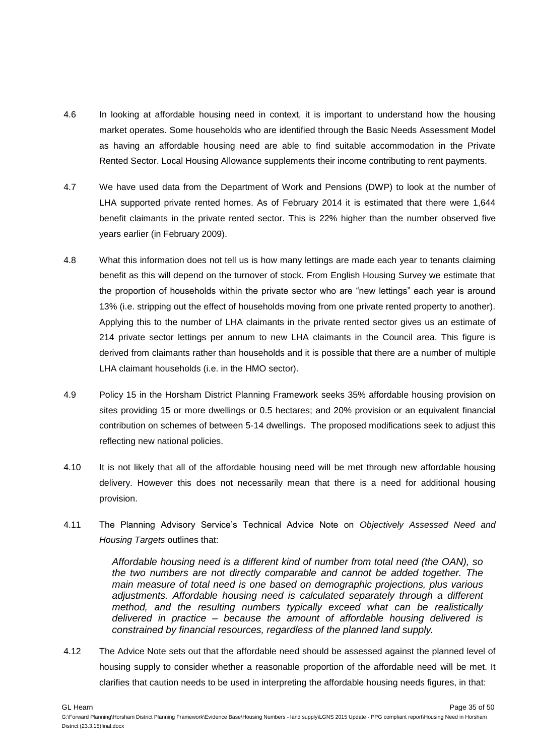- 4.6 In looking at affordable housing need in context, it is important to understand how the housing market operates. Some households who are identified through the Basic Needs Assessment Model as having an affordable housing need are able to find suitable accommodation in the Private Rented Sector. Local Housing Allowance supplements their income contributing to rent payments.
- 4.7 We have used data from the Department of Work and Pensions (DWP) to look at the number of LHA supported private rented homes. As of February 2014 it is estimated that there were 1,644 benefit claimants in the private rented sector. This is 22% higher than the number observed five years earlier (in February 2009).
- 4.8 What this information does not tell us is how many lettings are made each year to tenants claiming benefit as this will depend on the turnover of stock. From English Housing Survey we estimate that the proportion of households within the private sector who are "new lettings" each year is around 13% (i.e. stripping out the effect of households moving from one private rented property to another). Applying this to the number of LHA claimants in the private rented sector gives us an estimate of 214 private sector lettings per annum to new LHA claimants in the Council area. This figure is derived from claimants rather than households and it is possible that there are a number of multiple LHA claimant households (i.e. in the HMO sector).
- 4.9 Policy 15 in the Horsham District Planning Framework seeks 35% affordable housing provision on sites providing 15 or more dwellings or 0.5 hectares; and 20% provision or an equivalent financial contribution on schemes of between 5-14 dwellings. The proposed modifications seek to adjust this reflecting new national policies.
- 4.10 It is not likely that all of the affordable housing need will be met through new affordable housing delivery. However this does not necessarily mean that there is a need for additional housing provision.
- 4.11 The Planning Advisory Service's Technical Advice Note on *Objectively Assessed Need and Housing Targets* outlines that:

*Affordable housing need is a different kind of number from total need (the OAN), so the two numbers are not directly comparable and cannot be added together. The main measure of total need is one based on demographic projections, plus various adjustments. Affordable housing need is calculated separately through a different method, and the resulting numbers typically exceed what can be realistically delivered in practice – because the amount of affordable housing delivered is constrained by financial resources, regardless of the planned land supply.*

4.12 The Advice Note sets out that the affordable need should be assessed against the planned level of housing supply to consider whether a reasonable proportion of the affordable need will be met. It clarifies that caution needs to be used in interpreting the affordable housing needs figures, in that: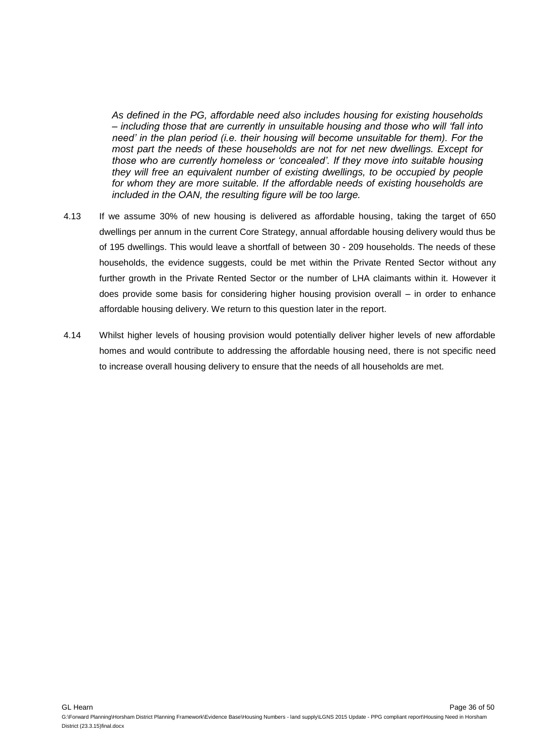*As defined in the PG, affordable need also includes housing for existing households – including those that are currently in unsuitable housing and those who will 'fall into need' in the plan period (i.e. their housing will become unsuitable for them). For the most part the needs of these households are not for net new dwellings. Except for those who are currently homeless or 'concealed'. If they move into suitable housing they will free an equivalent number of existing dwellings, to be occupied by people for whom they are more suitable. If the affordable needs of existing households are included in the OAN, the resulting figure will be too large.*

- 4.13 If we assume 30% of new housing is delivered as affordable housing, taking the target of 650 dwellings per annum in the current Core Strategy, annual affordable housing delivery would thus be of 195 dwellings. This would leave a shortfall of between 30 - 209 households. The needs of these households, the evidence suggests, could be met within the Private Rented Sector without any further growth in the Private Rented Sector or the number of LHA claimants within it. However it does provide some basis for considering higher housing provision overall – in order to enhance affordable housing delivery. We return to this question later in the report.
- 4.14 Whilst higher levels of housing provision would potentially deliver higher levels of new affordable homes and would contribute to addressing the affordable housing need, there is not specific need to increase overall housing delivery to ensure that the needs of all households are met.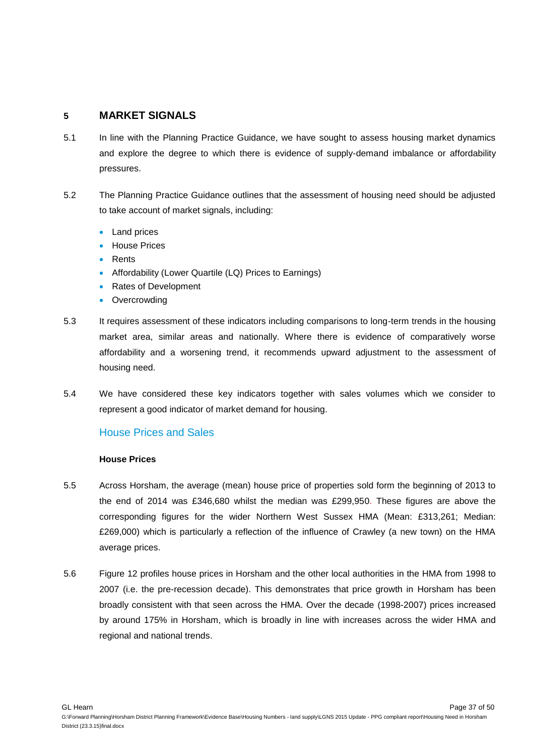## **5 MARKET SIGNALS**

- 5.1 In line with the Planning Practice Guidance, we have sought to assess housing market dynamics and explore the degree to which there is evidence of supply-demand imbalance or affordability pressures.
- 5.2 The Planning Practice Guidance outlines that the assessment of housing need should be adjusted to take account of market signals, including:
	- Land prices
	- House Prices
	- Rents
	- Affordability (Lower Quartile (LQ) Prices to Earnings)
	- Rates of Development
	- Overcrowding
- 5.3 It requires assessment of these indicators including comparisons to long-term trends in the housing market area, similar areas and nationally. Where there is evidence of comparatively worse affordability and a worsening trend, it recommends upward adjustment to the assessment of housing need.
- 5.4 We have considered these key indicators together with sales volumes which we consider to represent a good indicator of market demand for housing.

## House Prices and Sales

#### **House Prices**

- 5.5 Across Horsham, the average (mean) house price of properties sold form the beginning of 2013 to the end of 2014 was £346,680 whilst the median was £299,950. These figures are above the corresponding figures for the wider Northern West Sussex HMA (Mean: £313,261; Median: £269,000) which is particularly a reflection of the influence of Crawley (a new town) on the HMA average prices.
- 5.6 Figure 12 profiles house prices in Horsham and the other local authorities in the HMA from 1998 to 2007 (i.e. the pre-recession decade). This demonstrates that price growth in Horsham has been broadly consistent with that seen across the HMA. Over the decade (1998-2007) prices increased by around 175% in Horsham, which is broadly in line with increases across the wider HMA and regional and national trends.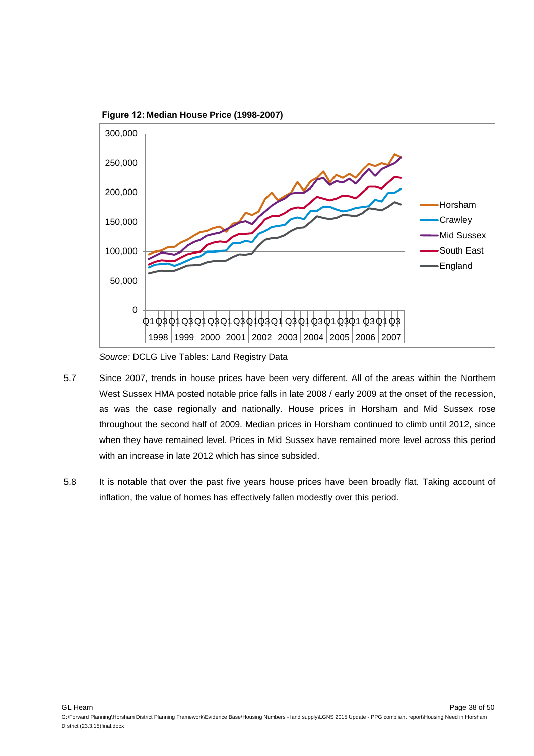**Figure 12: Median House Price (1998-2007)**

<span id="page-37-0"></span>

*Source:* DCLG Live Tables: Land Registry Data

- 5.7 Since 2007, trends in house prices have been very different. All of the areas within the Northern West Sussex HMA posted notable price falls in late 2008 / early 2009 at the onset of the recession, as was the case regionally and nationally. House prices in Horsham and Mid Sussex rose throughout the second half of 2009. Median prices in Horsham continued to climb until 2012, since when they have remained level. Prices in Mid Sussex have remained more level across this period with an increase in late 2012 which has since subsided.
- 5.8 It is notable that over the past five years house prices have been broadly flat. Taking account of inflation, the value of homes has effectively fallen modestly over this period.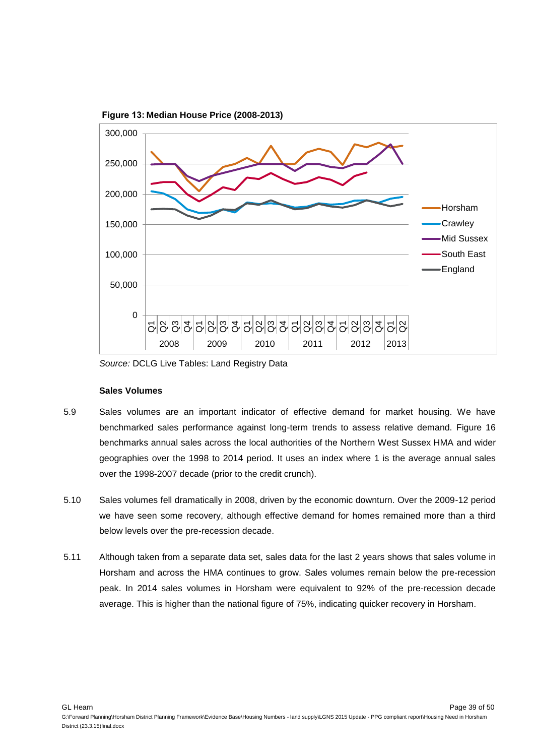<span id="page-38-0"></span>

**Figure 13: Median House Price (2008-2013)**

*Source:* DCLG Live Tables: Land Registry Data

#### **Sales Volumes**

- 5.9 Sales volumes are an important indicator of effective demand for market housing. We have benchmarked sales performance against long-term trends to assess relative demand. Figure 16 benchmarks annual sales across the local authorities of the Northern West Sussex HMA and wider geographies over the 1998 to 2014 period. It uses an index where 1 is the average annual sales over the 1998-2007 decade (prior to the credit crunch).
- 5.10 Sales volumes fell dramatically in 2008, driven by the economic downturn. Over the 2009-12 period we have seen some recovery, although effective demand for homes remained more than a third below levels over the pre-recession decade.
- 5.11 Although taken from a separate data set, sales data for the last 2 years shows that sales volume in Horsham and across the HMA continues to grow. Sales volumes remain below the pre-recession peak. In 2014 sales volumes in Horsham were equivalent to 92% of the pre-recession decade average. This is higher than the national figure of 75%, indicating quicker recovery in Horsham.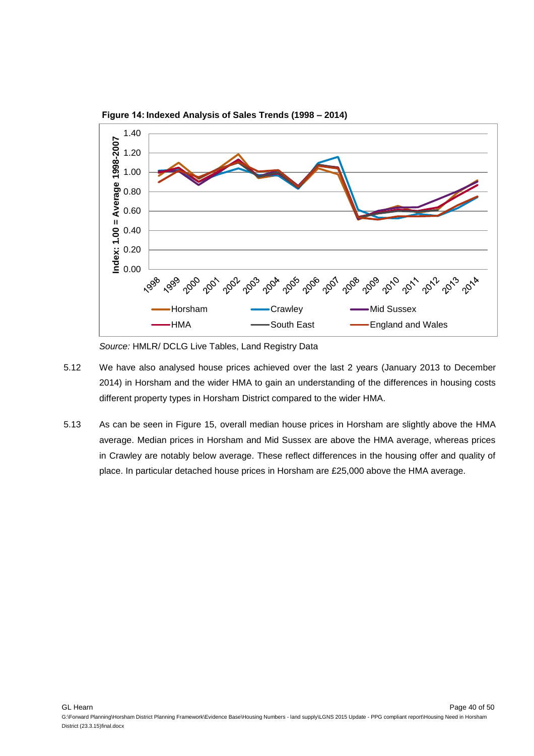<span id="page-39-0"></span>

**Figure 14: Indexed Analysis of Sales Trends (1998 – 2014)**

*Source:* HMLR/ DCLG Live Tables, Land Registry Data

- 5.12 We have also analysed house prices achieved over the last 2 years (January 2013 to December 2014) in Horsham and the wider HMA to gain an understanding of the differences in housing costs different property types in Horsham District compared to the wider HMA.
- 5.13 As can be seen in Figure 15, overall median house prices in Horsham are slightly above the HMA average. Median prices in Horsham and Mid Sussex are above the HMA average, whereas prices in Crawley are notably below average. These reflect differences in the housing offer and quality of place. In particular detached house prices in Horsham are £25,000 above the HMA average.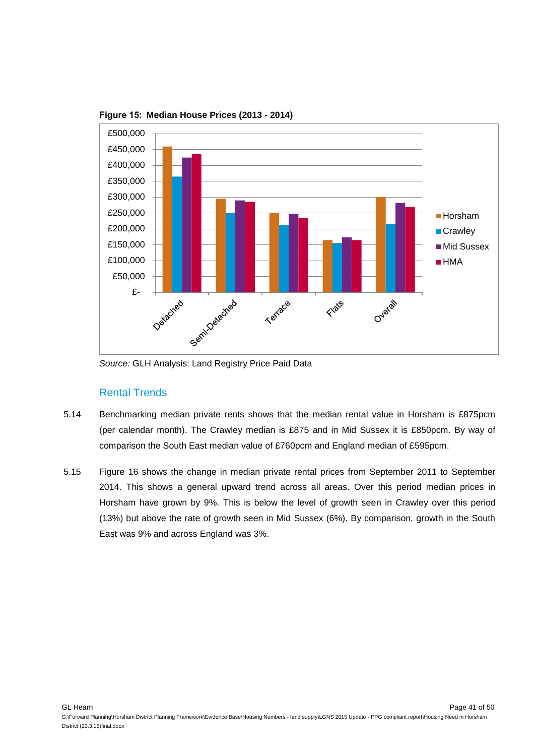

<span id="page-40-0"></span>**Figure 15: Median House Prices (2013 - 2014)**

## Rental Trends

- 5.14 Benchmarking median private rents shows that the median rental value in Horsham is £875pcm (per calendar month). The Crawley median is £875 and in Mid Sussex it is £850pcm. By way of comparison the South East median value of £760pcm and England median of £595pcm.
- 5.15 Figure 16 shows the change in median private rental prices from September 2011 to September 2014. This shows a general upward trend across all areas. Over this period median prices in Horsham have grown by 9%. This is below the level of growth seen in Crawley over this period (13%) but above the rate of growth seen in Mid Sussex (6%). By comparison, growth in the South East was 9% and across England was 3%.

*Source:* GLH Analysis: Land Registry Price Paid Data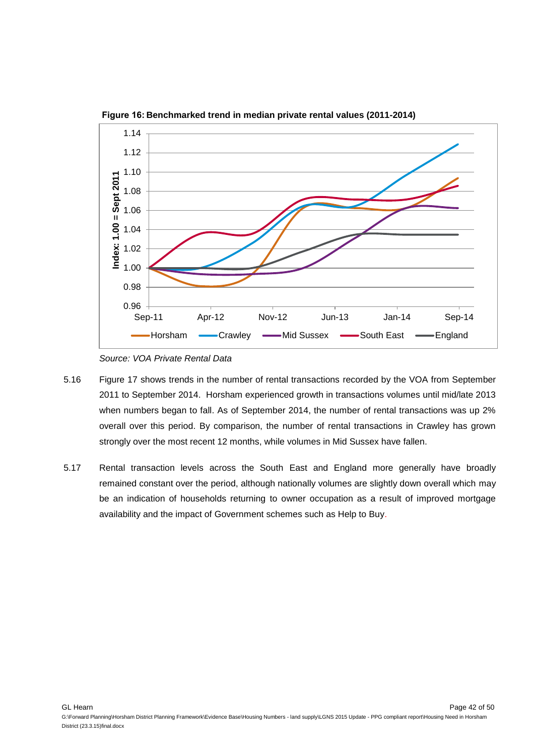<span id="page-41-0"></span>

**Figure 16: Benchmarked trend in median private rental values (2011-2014)**

*Source: VOA Private Rental Data*

- 5.16 Figure 17 shows trends in the number of rental transactions recorded by the VOA from September 2011 to September 2014. Horsham experienced growth in transactions volumes until mid/late 2013 when numbers began to fall. As of September 2014, the number of rental transactions was up 2% overall over this period. By comparison, the number of rental transactions in Crawley has grown strongly over the most recent 12 months, while volumes in Mid Sussex have fallen.
- 5.17 Rental transaction levels across the South East and England more generally have broadly remained constant over the period, although nationally volumes are slightly down overall which may be an indication of households returning to owner occupation as a result of improved mortgage availability and the impact of Government schemes such as Help to Buy.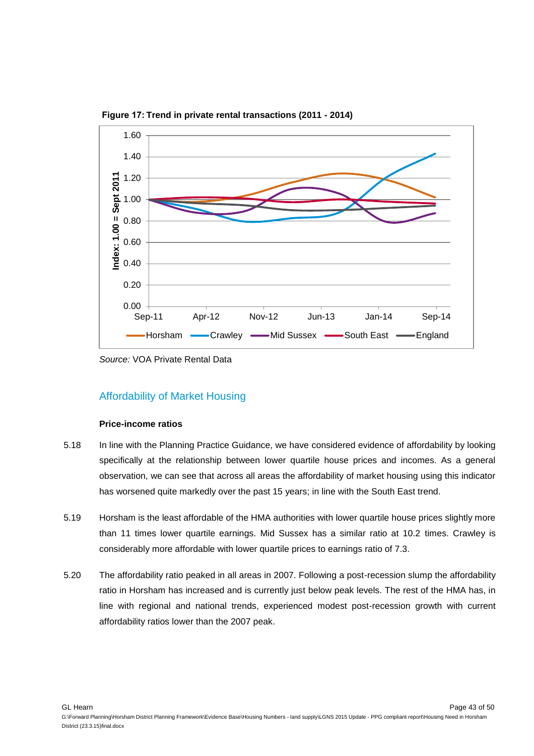<span id="page-42-0"></span>

**Figure 17: Trend in private rental transactions (2011 - 2014)**

## Affordability of Market Housing

#### **Price-income ratios**

- 5.18 In line with the Planning Practice Guidance, we have considered evidence of affordability by looking specifically at the relationship between lower quartile house prices and incomes. As a general observation, we can see that across all areas the affordability of market housing using this indicator has worsened quite markedly over the past 15 years; in line with the South East trend.
- 5.19 Horsham is the least affordable of the HMA authorities with lower quartile house prices slightly more than 11 times lower quartile earnings. Mid Sussex has a similar ratio at 10.2 times. Crawley is considerably more affordable with lower quartile prices to earnings ratio of 7.3.
- 5.20 The affordability ratio peaked in all areas in 2007. Following a post-recession slump the affordability ratio in Horsham has increased and is currently just below peak levels. The rest of the HMA has, in line with regional and national trends, experienced modest post-recession growth with current affordability ratios lower than the 2007 peak.

*Source:* VOA Private Rental Data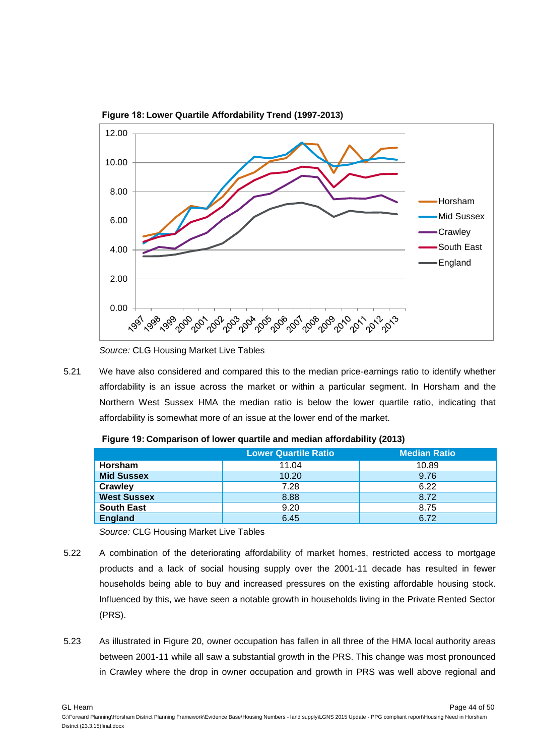<span id="page-43-0"></span>

**Figure 18: Lower Quartile Affordability Trend (1997-2013)**

*Source:* CLG Housing Market Live Tables

5.21 We have also considered and compared this to the median price-earnings ratio to identify whether affordability is an issue across the market or within a particular segment. In Horsham and the Northern West Sussex HMA the median ratio is below the lower quartile ratio, indicating that affordability is somewhat more of an issue at the lower end of the market.

<span id="page-43-1"></span>

|                    | <b>Lower Quartile Ratio</b> | <b>Median Ratio</b> |
|--------------------|-----------------------------|---------------------|
| <b>Horsham</b>     | 11.04                       | 10.89               |
| <b>Mid Sussex</b>  | 10.20                       | 9.76                |
| Crawley            | 7.28                        | 6.22                |
| <b>West Sussex</b> | 8.88                        | 8.72                |
| <b>South East</b>  | 9.20                        | 8.75                |
| <b>England</b>     | 6.45                        | 6.72                |

**Figure 19: Comparison of lower quartile and median affordability (2013)**

*Source:* CLG Housing Market Live Tables

- 5.22 A combination of the deteriorating affordability of market homes, restricted access to mortgage products and a lack of social housing supply over the 2001-11 decade has resulted in fewer households being able to buy and increased pressures on the existing affordable housing stock. Influenced by this, we have seen a notable growth in households living in the Private Rented Sector (PRS).
- 5.23 As illustrated in Figure 20, owner occupation has fallen in all three of the HMA local authority areas between 2001-11 while all saw a substantial growth in the PRS. This change was most pronounced in Crawley where the drop in owner occupation and growth in PRS was well above regional and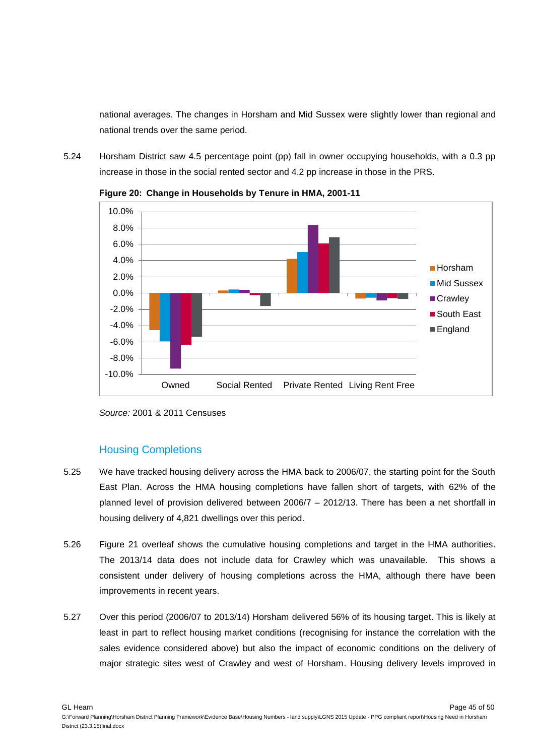national averages. The changes in Horsham and Mid Sussex were slightly lower than regional and national trends over the same period.

<span id="page-44-0"></span>5.24 Horsham District saw 4.5 percentage point (pp) fall in owner occupying households, with a 0.3 pp increase in those in the social rented sector and 4.2 pp increase in those in the PRS.



**Figure 20: Change in Households by Tenure in HMA, 2001-11** 

## Housing Completions

- 5.25 We have tracked housing delivery across the HMA back to 2006/07, the starting point for the South East Plan. Across the HMA housing completions have fallen short of targets, with 62% of the planned level of provision delivered between 2006/7 – 2012/13. There has been a net shortfall in housing delivery of 4,821 dwellings over this period.
- 5.26 Figure 21 overleaf shows the cumulative housing completions and target in the HMA authorities. The 2013/14 data does not include data for Crawley which was unavailable. This shows a consistent under delivery of housing completions across the HMA, although there have been improvements in recent years.
- 5.27 Over this period (2006/07 to 2013/14) Horsham delivered 56% of its housing target. This is likely at least in part to reflect housing market conditions (recognising for instance the correlation with the sales evidence considered above) but also the impact of economic conditions on the delivery of major strategic sites west of Crawley and west of Horsham. Housing delivery levels improved in

*Source:* 2001 & 2011 Censuses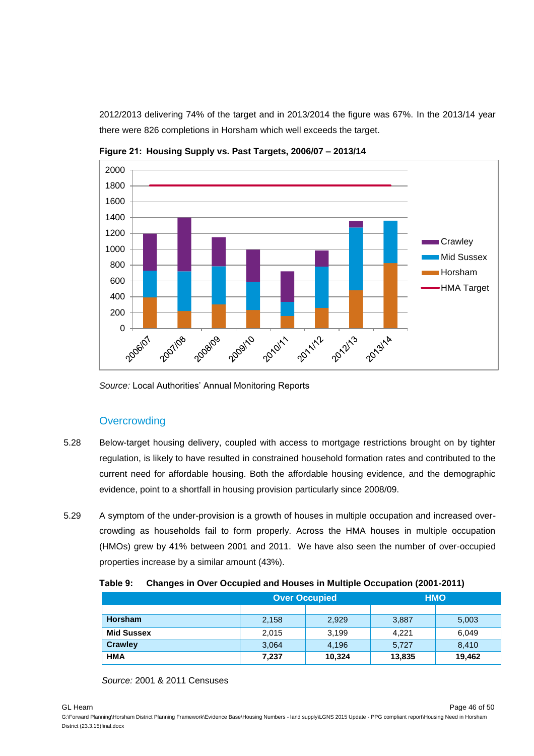2012/2013 delivering 74% of the target and in 2013/2014 the figure was 67%. In the 2013/14 year there were 826 completions in Horsham which well exceeds the target.



<span id="page-45-0"></span>**Figure 21: Housing Supply vs. Past Targets, 2006/07 – 2013/14**

*Source:* Local Authorities' Annual Monitoring Reports

## **Overcrowding**

- 5.28 Below-target housing delivery, coupled with access to mortgage restrictions brought on by tighter regulation, is likely to have resulted in constrained household formation rates and contributed to the current need for affordable housing. Both the affordable housing evidence, and the demographic evidence, point to a shortfall in housing provision particularly since 2008/09.
- 5.29 A symptom of the under-provision is a growth of houses in multiple occupation and increased overcrowding as households fail to form properly. Across the HMA houses in multiple occupation (HMOs) grew by 41% between 2001 and 2011. We have also seen the number of over-occupied properties increase by a similar amount (43%).

<span id="page-45-1"></span>

|  |  | Table 9: Changes in Over Occupied and Houses in Multiple Occupation (2001-2011) |  |  |  |
|--|--|---------------------------------------------------------------------------------|--|--|--|
|--|--|---------------------------------------------------------------------------------|--|--|--|

|                   | <b>Over Occupied</b> |        | <b>HMO</b> |        |  |
|-------------------|----------------------|--------|------------|--------|--|
|                   |                      |        |            |        |  |
| <b>Horsham</b>    | 2,158                | 2,929  | 3,887      | 5,003  |  |
| <b>Mid Sussex</b> | 2,015                | 3.199  | 4.221      | 6,049  |  |
| <b>Crawley</b>    | 3,064                | 4,196  | 5,727      | 8,410  |  |
| <b>HMA</b>        | 7,237                | 10,324 | 13,835     | 19,462 |  |

*Source:* 2001 & 2011 Censuses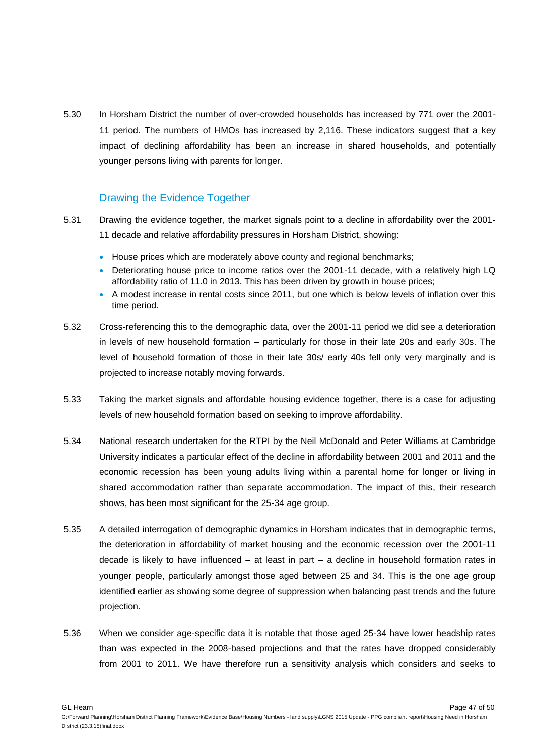5.30 In Horsham District the number of over-crowded households has increased by 771 over the 2001- 11 period. The numbers of HMOs has increased by 2,116. These indicators suggest that a key impact of declining affordability has been an increase in shared households, and potentially younger persons living with parents for longer.

## Drawing the Evidence Together

- 5.31 Drawing the evidence together, the market signals point to a decline in affordability over the 2001- 11 decade and relative affordability pressures in Horsham District, showing:
	- House prices which are moderately above county and regional benchmarks;
	- Deteriorating house price to income ratios over the 2001-11 decade, with a relatively high LQ affordability ratio of 11.0 in 2013. This has been driven by growth in house prices;
	- A modest increase in rental costs since 2011, but one which is below levels of inflation over this time period.
- 5.32 Cross-referencing this to the demographic data, over the 2001-11 period we did see a deterioration in levels of new household formation – particularly for those in their late 20s and early 30s. The level of household formation of those in their late 30s/ early 40s fell only very marginally and is projected to increase notably moving forwards.
- 5.33 Taking the market signals and affordable housing evidence together, there is a case for adjusting levels of new household formation based on seeking to improve affordability.
- 5.34 National research undertaken for the RTPI by the Neil McDonald and Peter Williams at Cambridge University indicates a particular effect of the decline in affordability between 2001 and 2011 and the economic recession has been young adults living within a parental home for longer or living in shared accommodation rather than separate accommodation. The impact of this, their research shows, has been most significant for the 25-34 age group.
- 5.35 A detailed interrogation of demographic dynamics in Horsham indicates that in demographic terms, the deterioration in affordability of market housing and the economic recession over the 2001-11 decade is likely to have influenced – at least in part – a decline in household formation rates in younger people, particularly amongst those aged between 25 and 34. This is the one age group identified earlier as showing some degree of suppression when balancing past trends and the future projection.
- 5.36 When we consider age-specific data it is notable that those aged 25-34 have lower headship rates than was expected in the 2008-based projections and that the rates have dropped considerably from 2001 to 2011. We have therefore run a sensitivity analysis which considers and seeks to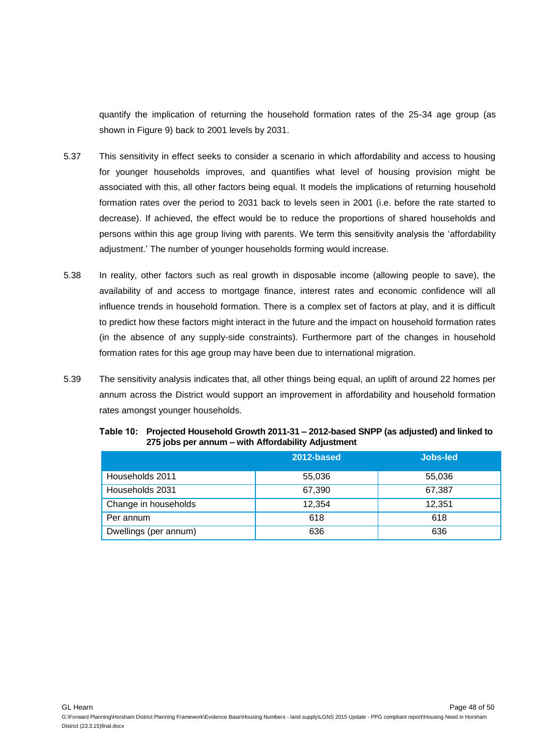quantify the implication of returning the household formation rates of the 25-34 age group (as shown in Figure 9) back to 2001 levels by 2031.

- 5.37 This sensitivity in effect seeks to consider a scenario in which affordability and access to housing for younger households improves, and quantifies what level of housing provision might be associated with this, all other factors being equal. It models the implications of returning household formation rates over the period to 2031 back to levels seen in 2001 (i.e. before the rate started to decrease). If achieved, the effect would be to reduce the proportions of shared households and persons within this age group living with parents. We term this sensitivity analysis the 'affordability adjustment.' The number of younger households forming would increase.
- 5.38 In reality, other factors such as real growth in disposable income (allowing people to save), the availability of and access to mortgage finance, interest rates and economic confidence will all influence trends in household formation. There is a complex set of factors at play, and it is difficult to predict how these factors might interact in the future and the impact on household formation rates (in the absence of any supply-side constraints). Furthermore part of the changes in household formation rates for this age group may have been due to international migration.
- 5.39 The sensitivity analysis indicates that, all other things being equal, an uplift of around 22 homes per annum across the District would support an improvement in affordability and household formation rates amongst younger households.

|                       | 2012-based | Jobs-led |
|-----------------------|------------|----------|
| Households 2011       | 55,036     | 55,036   |
| Households 2031       | 67,390     | 67,387   |
| Change in households  | 12,354     | 12.351   |
| Per annum             | 618        | 618      |
| Dwellings (per annum) | 636        | 636      |

#### <span id="page-47-0"></span>**Table 10: Projected Household Growth 2011-31 – 2012-based SNPP (as adjusted) and linked to 275 jobs per annum – with Affordability Adjustment**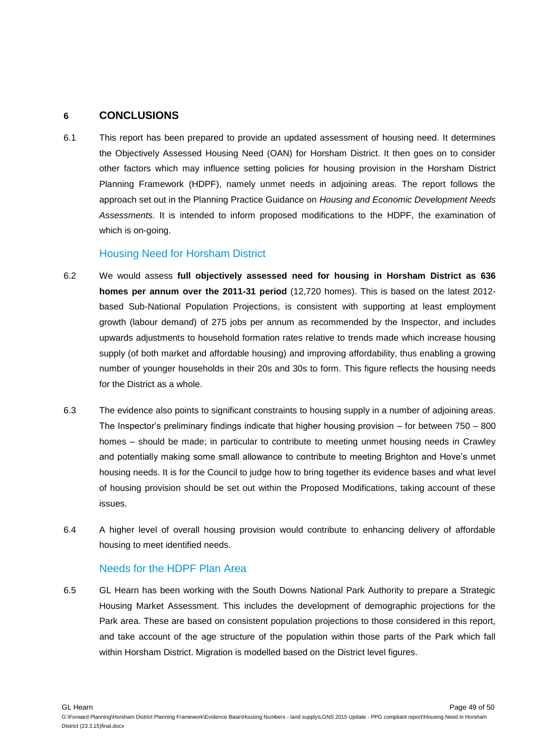#### **6 CONCLUSIONS**

6.1 This report has been prepared to provide an updated assessment of housing need. It determines the Objectively Assessed Housing Need (OAN) for Horsham District. It then goes on to consider other factors which may influence setting policies for housing provision in the Horsham District Planning Framework (HDPF), namely unmet needs in adjoining areas. The report follows the approach set out in the Planning Practice Guidance on *Housing and Economic Development Needs Assessments.* It is intended to inform proposed modifications to the HDPF, the examination of which is on-going.

#### Housing Need for Horsham District

- 6.2 We would assess **full objectively assessed need for housing in Horsham District as 636 homes per annum over the 2011-31 period** (12,720 homes). This is based on the latest 2012 based Sub-National Population Projections, is consistent with supporting at least employment growth (labour demand) of 275 jobs per annum as recommended by the Inspector, and includes upwards adjustments to household formation rates relative to trends made which increase housing supply (of both market and affordable housing) and improving affordability, thus enabling a growing number of younger households in their 20s and 30s to form. This figure reflects the housing needs for the District as a whole.
- 6.3 The evidence also points to significant constraints to housing supply in a number of adjoining areas. The Inspector's preliminary findings indicate that higher housing provision – for between 750 – 800 homes – should be made; in particular to contribute to meeting unmet housing needs in Crawley and potentially making some small allowance to contribute to meeting Brighton and Hove's unmet housing needs. It is for the Council to judge how to bring together its evidence bases and what level of housing provision should be set out within the Proposed Modifications, taking account of these issues.
- 6.4 A higher level of overall housing provision would contribute to enhancing delivery of affordable housing to meet identified needs.

#### Needs for the HDPF Plan Area

6.5 GL Hearn has been working with the South Downs National Park Authority to prepare a Strategic Housing Market Assessment. This includes the development of demographic projections for the Park area. These are based on consistent population projections to those considered in this report, and take account of the age structure of the population within those parts of the Park which fall within Horsham District. Migration is modelled based on the District level figures.